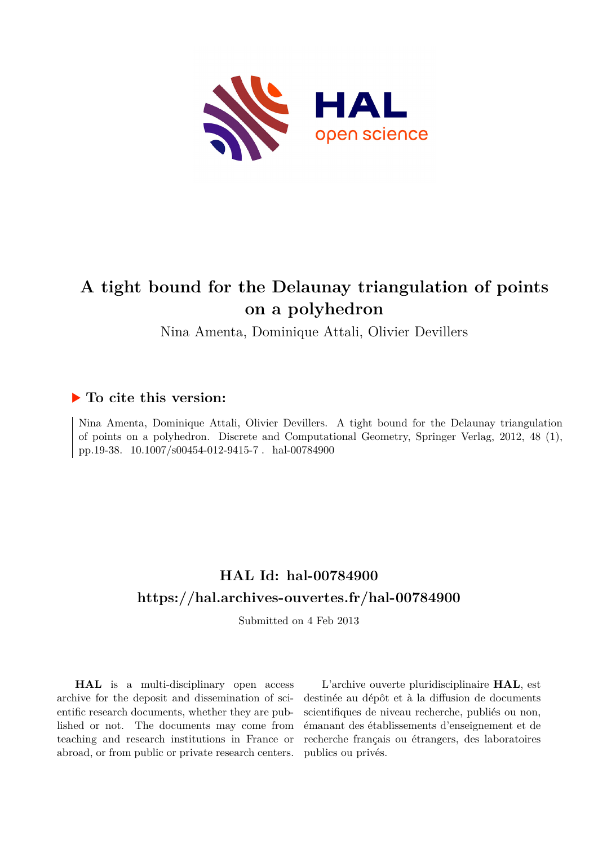

# **A tight bound for the Delaunay triangulation of points on a polyhedron**

# Nina Amenta, Dominique Attali, Olivier Devillers

# **To cite this version:**

Nina Amenta, Dominique Attali, Olivier Devillers. A tight bound for the Delaunay triangulation of points on a polyhedron. Discrete and Computational Geometry, Springer Verlag, 2012, 48 (1), pp.19-38.  $10.1007/s00454-012-9415-7$ . hal-00784900

# **HAL Id: hal-00784900 <https://hal.archives-ouvertes.fr/hal-00784900>**

Submitted on 4 Feb 2013

**HAL** is a multi-disciplinary open access archive for the deposit and dissemination of scientific research documents, whether they are published or not. The documents may come from teaching and research institutions in France or abroad, or from public or private research centers.

L'archive ouverte pluridisciplinaire **HAL**, est destinée au dépôt et à la diffusion de documents scientifiques de niveau recherche, publiés ou non, émanant des établissements d'enseignement et de recherche français ou étrangers, des laboratoires publics ou privés.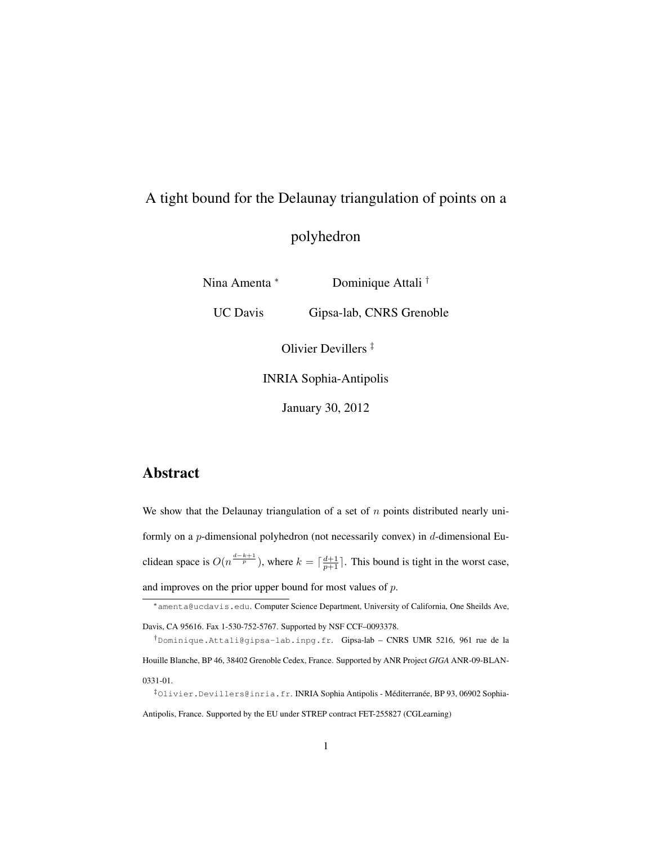# A tight bound for the Delaunay triangulation of points on a

# polyhedron

Nina Amenta <sup>∗</sup> Dominique Attali †

UC Davis Gipsa-lab, CNRS Grenoble

Olivier Devillers ‡

INRIA Sophia-Antipolis

January 30, 2012

## Abstract

We show that the Delaunay triangulation of a set of  $n$  points distributed nearly uniformly on a p-dimensional polyhedron (not necessarily convex) in d-dimensional Euclidean space is  $O(n^{\frac{d-k+1}{p}})$ , where  $k = \lceil \frac{d+1}{p+1} \rceil$ . This bound is tight in the worst case, and improves on the prior upper bound for most values of  $p$ .

<sup>∗</sup>amenta@ucdavis.edu. Computer Science Department, University of California, One Sheilds Ave,

Davis, CA 95616. Fax 1-530-752-5767. Supported by NSF CCF–0093378.

<sup>†</sup>Dominique.Attali@gipsa-lab.inpg.fr. Gipsa-lab – CNRS UMR 5216, 961 rue de la Houille Blanche, BP 46, 38402 Grenoble Cedex, France. Supported by ANR Project *GIGA* ANR-09-BLAN-0331-01.

<sup>&</sup>lt;sup>‡</sup>Olivier.Devillers@inria.fr. INRIA Sophia Antipolis - Méditerranée, BP 93, 06902 Sophia-Antipolis, France. Supported by the EU under STREP contract FET-255827 (CGLearning)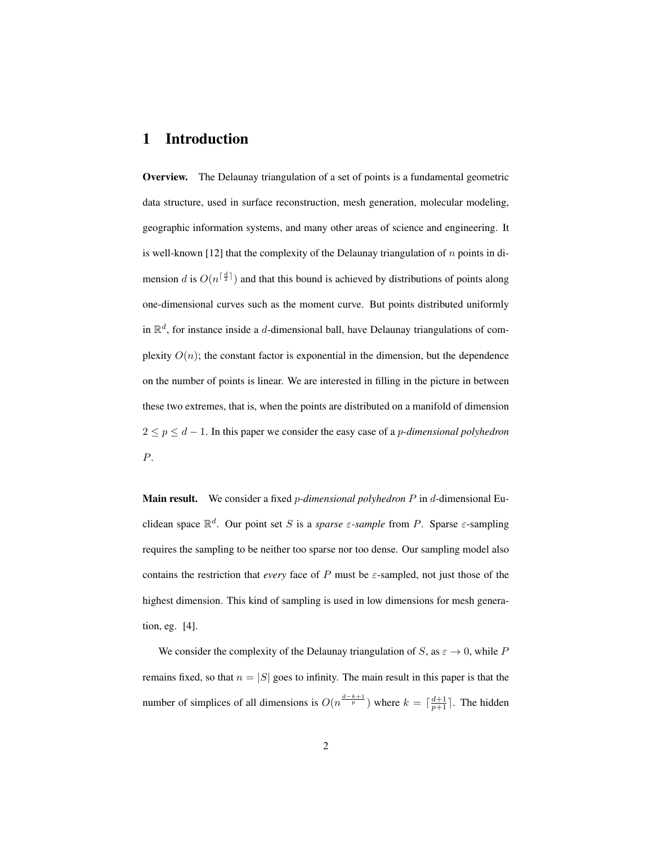### 1 Introduction

Overview. The Delaunay triangulation of a set of points is a fundamental geometric data structure, used in surface reconstruction, mesh generation, molecular modeling, geographic information systems, and many other areas of science and engineering. It is well-known [12] that the complexity of the Delaunay triangulation of  $n$  points in dimension d is  $O(n^{\lceil \frac{d}{2} \rceil})$  and that this bound is achieved by distributions of points along one-dimensional curves such as the moment curve. But points distributed uniformly in  $\mathbb{R}^d$ , for instance inside a d-dimensional ball, have Delaunay triangulations of complexity  $O(n)$ ; the constant factor is exponential in the dimension, but the dependence on the number of points is linear. We are interested in filling in the picture in between these two extremes, that is, when the points are distributed on a manifold of dimension 2 ≤ p ≤ d − 1. In this paper we consider the easy case of a p*-dimensional polyhedron* P.

Main result. We consider a fixed p*-dimensional polyhedron* P in d-dimensional Euclidean space  $\mathbb{R}^d$ . Our point set S is a *sparse*  $\varepsilon$ -sample from P. Sparse  $\varepsilon$ -sampling requires the sampling to be neither too sparse nor too dense. Our sampling model also contains the restriction that *every* face of P must be  $\varepsilon$ -sampled, not just those of the highest dimension. This kind of sampling is used in low dimensions for mesh generation, eg. [4].

We consider the complexity of the Delaunay triangulation of S, as  $\varepsilon \to 0$ , while P remains fixed, so that  $n = |S|$  goes to infinity. The main result in this paper is that the number of simplices of all dimensions is  $O(n^{\frac{d-k+1}{p}})$  where  $k = \lceil \frac{d+1}{p+1} \rceil$ . The hidden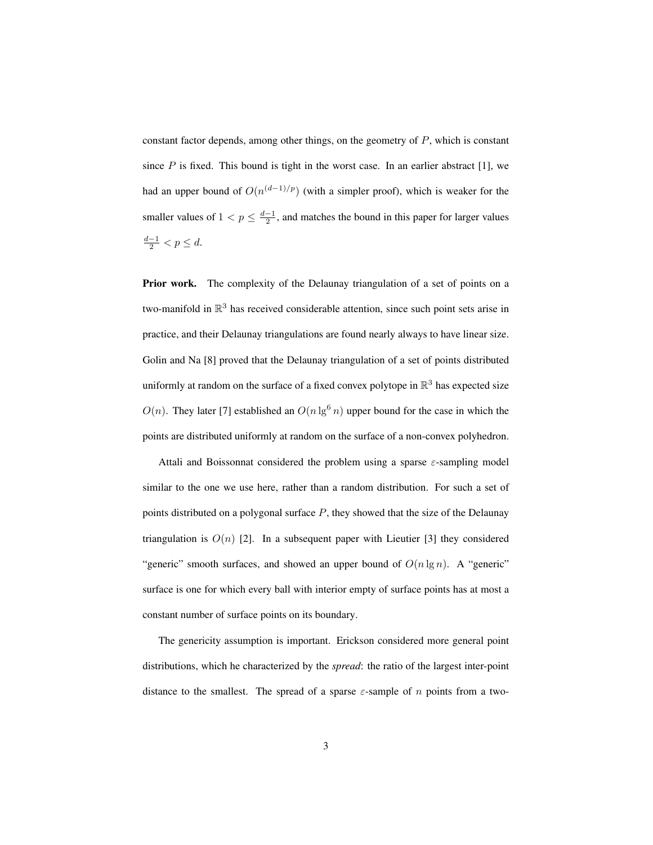constant factor depends, among other things, on the geometry of P, which is constant since  $P$  is fixed. This bound is tight in the worst case. In an earlier abstract [1], we had an upper bound of  $O(n^{(d-1)/p})$  (with a simpler proof), which is weaker for the smaller values of  $1 < p \leq \frac{d-1}{2}$ , and matches the bound in this paper for larger values  $\frac{d-1}{2} < p \leq d.$ 

Prior work. The complexity of the Delaunay triangulation of a set of points on a two-manifold in  $\mathbb{R}^3$  has received considerable attention, since such point sets arise in practice, and their Delaunay triangulations are found nearly always to have linear size. Golin and Na [8] proved that the Delaunay triangulation of a set of points distributed uniformly at random on the surface of a fixed convex polytope in  $\mathbb{R}^3$  has expected size  $O(n)$ . They later [7] established an  $O(n \lg^6 n)$  upper bound for the case in which the points are distributed uniformly at random on the surface of a non-convex polyhedron.

Attali and Boissonnat considered the problem using a sparse  $\varepsilon$ -sampling model similar to the one we use here, rather than a random distribution. For such a set of points distributed on a polygonal surface  $P$ , they showed that the size of the Delaunay triangulation is  $O(n)$  [2]. In a subsequent paper with Lieutier [3] they considered "generic" smooth surfaces, and showed an upper bound of  $O(n \lg n)$ . A "generic" surface is one for which every ball with interior empty of surface points has at most a constant number of surface points on its boundary.

The genericity assumption is important. Erickson considered more general point distributions, which he characterized by the *spread*: the ratio of the largest inter-point distance to the smallest. The spread of a sparse  $\varepsilon$ -sample of n points from a two-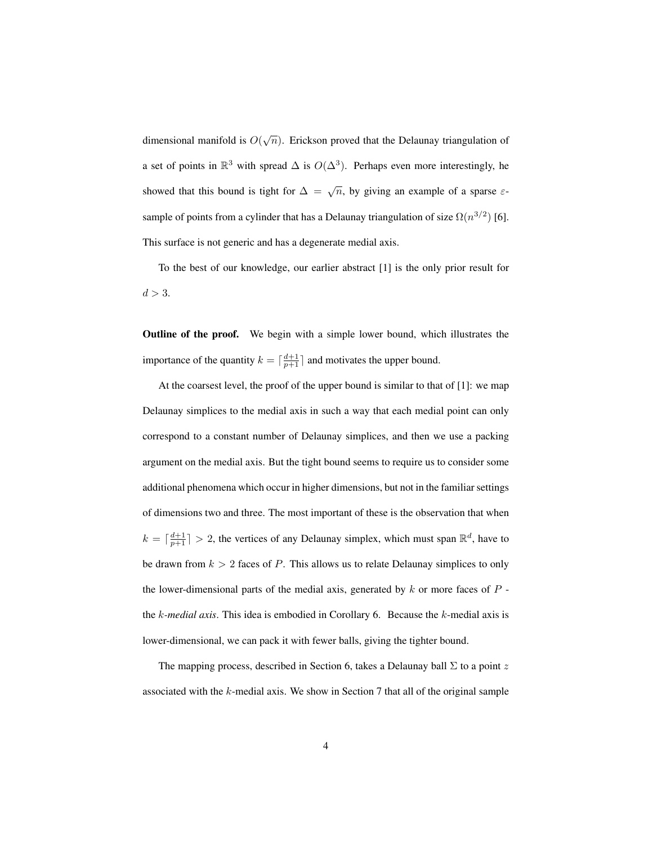dimensional manifold is  $O(\sqrt{n})$ . Erickson proved that the Delaunay triangulation of a set of points in  $\mathbb{R}^3$  with spread  $\Delta$  is  $O(\Delta^3)$ . Perhaps even more interestingly, he showed that this bound is tight for  $\Delta = \sqrt{n}$ , by giving an example of a sparse  $\varepsilon$ sample of points from a cylinder that has a Delaunay triangulation of size  $\Omega(n^{3/2})$  [6]. This surface is not generic and has a degenerate medial axis.

To the best of our knowledge, our earlier abstract [1] is the only prior result for  $d > 3$ .

Outline of the proof. We begin with a simple lower bound, which illustrates the importance of the quantity  $k = \lceil \frac{d+1}{p+1} \rceil$  and motivates the upper bound.

At the coarsest level, the proof of the upper bound is similar to that of [1]: we map Delaunay simplices to the medial axis in such a way that each medial point can only correspond to a constant number of Delaunay simplices, and then we use a packing argument on the medial axis. But the tight bound seems to require us to consider some additional phenomena which occur in higher dimensions, but not in the familiar settings of dimensions two and three. The most important of these is the observation that when  $k = \lceil \frac{d+1}{p+1} \rceil > 2$ , the vertices of any Delaunay simplex, which must span  $\mathbb{R}^d$ , have to be drawn from  $k > 2$  faces of P. This allows us to relate Delaunay simplices to only the lower-dimensional parts of the medial axis, generated by  $k$  or more faces of  $P$  the k*-medial axis*. This idea is embodied in Corollary 6. Because the k-medial axis is lower-dimensional, we can pack it with fewer balls, giving the tighter bound.

The mapping process, described in Section 6, takes a Delaunay ball  $\Sigma$  to a point z associated with the  $k$ -medial axis. We show in Section 7 that all of the original sample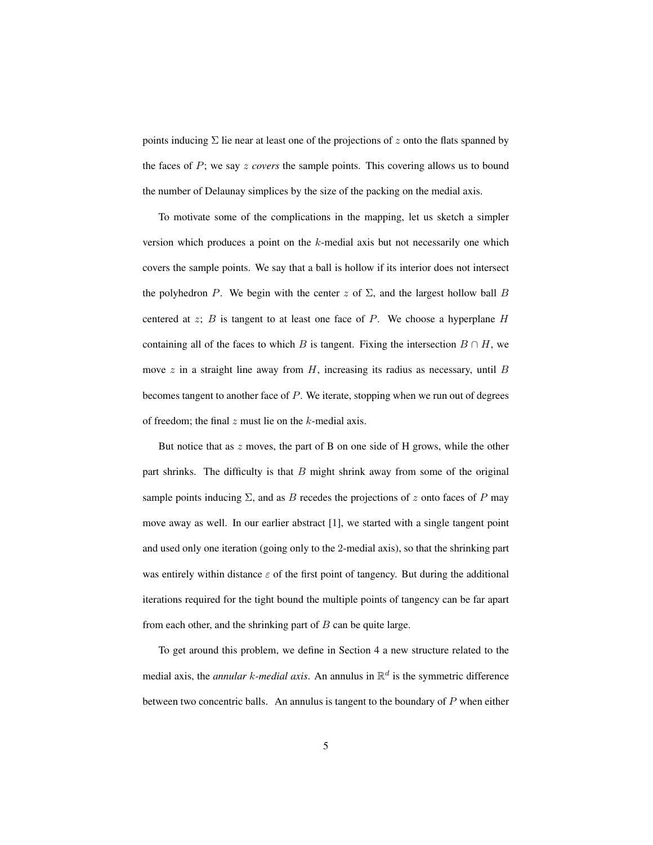points inducing  $\Sigma$  lie near at least one of the projections of z onto the flats spanned by the faces of P; we say z *covers* the sample points. This covering allows us to bound the number of Delaunay simplices by the size of the packing on the medial axis.

To motivate some of the complications in the mapping, let us sketch a simpler version which produces a point on the  $k$ -medial axis but not necessarily one which covers the sample points. We say that a ball is hollow if its interior does not intersect the polyhedron P. We begin with the center z of  $\Sigma$ , and the largest hollow ball B centered at z; B is tangent to at least one face of P. We choose a hyperplane H containing all of the faces to which B is tangent. Fixing the intersection  $B \cap H$ , we move  $z$  in a straight line away from  $H$ , increasing its radius as necessary, until  $B$ becomes tangent to another face of  $P$ . We iterate, stopping when we run out of degrees of freedom; the final  $z$  must lie on the  $k$ -medial axis.

But notice that as  $z$  moves, the part of B on one side of H grows, while the other part shrinks. The difficulty is that  $B$  might shrink away from some of the original sample points inducing  $\Sigma$ , and as B recedes the projections of z onto faces of P may move away as well. In our earlier abstract [1], we started with a single tangent point and used only one iteration (going only to the 2-medial axis), so that the shrinking part was entirely within distance  $\varepsilon$  of the first point of tangency. But during the additional iterations required for the tight bound the multiple points of tangency can be far apart from each other, and the shrinking part of  $B$  can be quite large.

To get around this problem, we define in Section 4 a new structure related to the medial axis, the *annular k-medial axis*. An annulus in  $\mathbb{R}^d$  is the symmetric difference between two concentric balls. An annulus is tangent to the boundary of  $P$  when either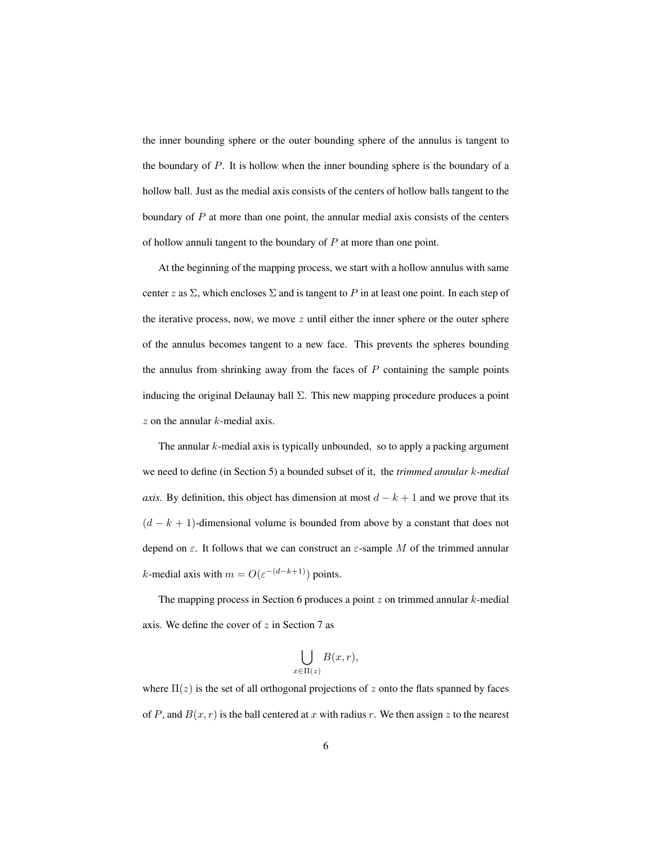the inner bounding sphere or the outer bounding sphere of the annulus is tangent to the boundary of P. It is hollow when the inner bounding sphere is the boundary of a hollow ball. Just as the medial axis consists of the centers of hollow balls tangent to the boundary of  $P$  at more than one point, the annular medial axis consists of the centers of hollow annuli tangent to the boundary of P at more than one point.

At the beginning of the mapping process, we start with a hollow annulus with same center z as  $\Sigma$ , which encloses  $\Sigma$  and is tangent to P in at least one point. In each step of the iterative process, now, we move  $z$  until either the inner sphere or the outer sphere of the annulus becomes tangent to a new face. This prevents the spheres bounding the annulus from shrinking away from the faces of  $P$  containing the sample points inducing the original Delaunay ball  $\Sigma$ . This new mapping procedure produces a point  $z$  on the annular  $k$ -medial axis.

The annular  $k$ -medial axis is typically unbounded, so to apply a packing argument we need to define (in Section 5) a bounded subset of it, the *trimmed annular* k*-medial axis*. By definition, this object has dimension at most  $d - k + 1$  and we prove that its  $(d - k + 1)$ -dimensional volume is bounded from above by a constant that does not depend on  $\varepsilon$ . It follows that we can construct an  $\varepsilon$ -sample M of the trimmed annular k-medial axis with  $m = O(\varepsilon^{-(d-k+1)})$  points.

The mapping process in Section 6 produces a point  $z$  on trimmed annular  $k$ -medial axis. We define the cover of  $z$  in Section 7 as

$$
\bigcup_{x \in \Pi(z)} B(x, r),
$$

where  $\Pi(z)$  is the set of all orthogonal projections of z onto the flats spanned by faces of P, and  $B(x, r)$  is the ball centered at x with radius r. We then assign z to the nearest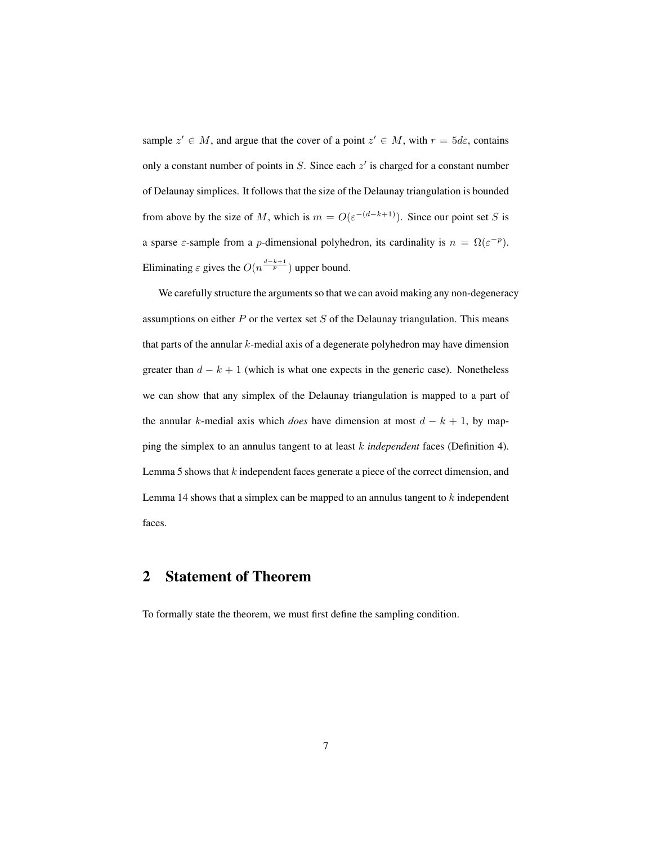sample  $z' \in M$ , and argue that the cover of a point  $z' \in M$ , with  $r = 5d\varepsilon$ , contains only a constant number of points in  $S$ . Since each  $z'$  is charged for a constant number of Delaunay simplices. It follows that the size of the Delaunay triangulation is bounded from above by the size of M, which is  $m = O(\varepsilon^{-(d-k+1)})$ . Since our point set S is a sparse  $\varepsilon$ -sample from a *p*-dimensional polyhedron, its cardinality is  $n = \Omega(\varepsilon^{-p})$ . Eliminating  $\varepsilon$  gives the  $O(n^{\frac{d-k+1}{p}})$  upper bound.

We carefully structure the arguments so that we can avoid making any non-degeneracy assumptions on either  $P$  or the vertex set  $S$  of the Delaunay triangulation. This means that parts of the annular  $k$ -medial axis of a degenerate polyhedron may have dimension greater than  $d - k + 1$  (which is what one expects in the generic case). Nonetheless we can show that any simplex of the Delaunay triangulation is mapped to a part of the annular k-medial axis which *does* have dimension at most  $d - k + 1$ , by mapping the simplex to an annulus tangent to at least k *independent* faces (Definition 4). Lemma 5 shows that  $k$  independent faces generate a piece of the correct dimension, and Lemma 14 shows that a simplex can be mapped to an annulus tangent to  $k$  independent faces.

## 2 Statement of Theorem

To formally state the theorem, we must first define the sampling condition.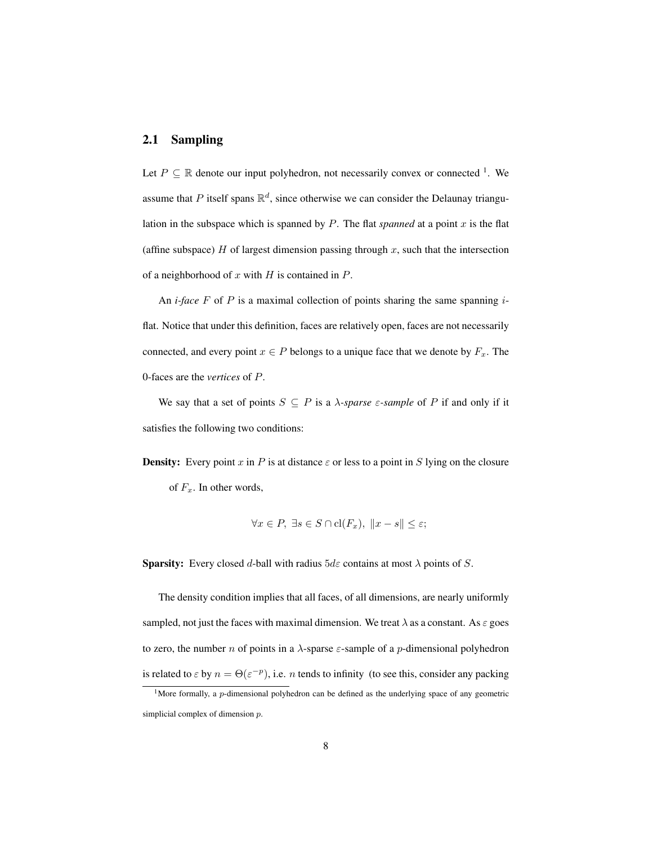#### 2.1 Sampling

Let  $P \subseteq \mathbb{R}$  denote our input polyhedron, not necessarily convex or connected <sup>1</sup>. We assume that P itself spans  $\mathbb{R}^d$ , since otherwise we can consider the Delaunay triangulation in the subspace which is spanned by  $P$ . The flat *spanned* at a point  $x$  is the flat (affine subspace)  $H$  of largest dimension passing through  $x$ , such that the intersection of a neighborhood of  $x$  with  $H$  is contained in  $P$ .

An *i-face* F of P is a maximal collection of points sharing the same spanning *i*flat. Notice that under this definition, faces are relatively open, faces are not necessarily connected, and every point  $x \in P$  belongs to a unique face that we denote by  $F_x$ . The 0-faces are the *vertices* of P.

We say that a set of points  $S \subseteq P$  is a  $\lambda$ -sparse  $\varepsilon$ -sample of P if and only if it satisfies the following two conditions:

**Density:** Every point x in P is at distance  $\varepsilon$  or less to a point in S lying on the closure of  $F_x$ . In other words,

$$
\forall x \in P, \ \exists s \in S \cap \mathrm{cl}(F_x), \ \|x - s\| \leq \varepsilon;
$$

**Sparsity:** Every closed d-ball with radius  $5d\varepsilon$  contains at most  $\lambda$  points of S.

The density condition implies that all faces, of all dimensions, are nearly uniformly sampled, not just the faces with maximal dimension. We treat  $\lambda$  as a constant. As  $\varepsilon$  goes to zero, the number *n* of points in a  $\lambda$ -sparse  $\varepsilon$ -sample of a *p*-dimensional polyhedron is related to  $\varepsilon$  by  $n = \Theta(\varepsilon^{-p})$ , i.e. *n* tends to infinity (to see this, consider any packing

<sup>&</sup>lt;sup>1</sup>More formally, a *p*-dimensional polyhedron can be defined as the underlying space of any geometric simplicial complex of dimension  $p$ .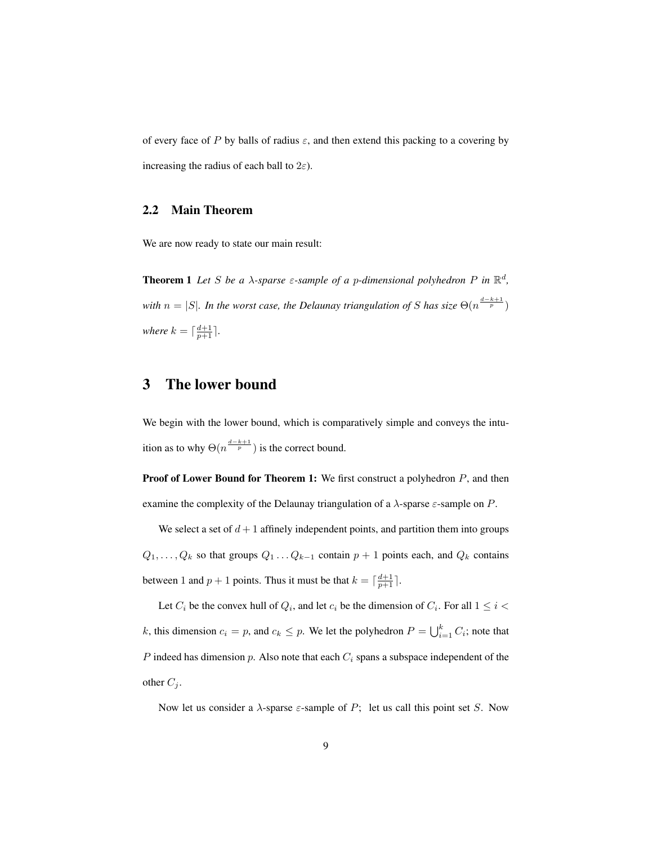of every face of P by balls of radius  $\varepsilon$ , and then extend this packing to a covering by increasing the radius of each ball to  $2\varepsilon$ ).

#### 2.2 Main Theorem

We are now ready to state our main result:

**Theorem 1** Let S be a  $\lambda$ -sparse  $\varepsilon$ -sample of a p-dimensional polyhedron P in  $\mathbb{R}^d$ , *with*  $n = |S|$ . In the worst case, the Delaunay triangulation of S has size  $\Theta(n^{\frac{d-k+1}{p}})$ *where*  $k = \lceil \frac{d+1}{p+1} \rceil$ .

## 3 The lower bound

We begin with the lower bound, which is comparatively simple and conveys the intuition as to why  $\Theta(n^{\frac{d-k+1}{p}})$  is the correct bound.

**Proof of Lower Bound for Theorem 1:** We first construct a polyhedron  $P$ , and then examine the complexity of the Delaunay triangulation of a  $\lambda$ -sparse  $\varepsilon$ -sample on P.

We select a set of  $d+1$  affinely independent points, and partition them into groups  $Q_1, \ldots, Q_k$  so that groups  $Q_1 \ldots Q_{k-1}$  contain  $p + 1$  points each, and  $Q_k$  contains between 1 and  $p + 1$  points. Thus it must be that  $k = \lceil \frac{d+1}{p+1} \rceil$ .

Let  $C_i$  be the convex hull of  $Q_i$ , and let  $c_i$  be the dimension of  $C_i$ . For all  $1 \leq i <$ k, this dimension  $c_i = p$ , and  $c_k \leq p$ . We let the polyhedron  $P = \bigcup_{i=1}^k C_i$ ; note that P indeed has dimension  $p$ . Also note that each  $C_i$  spans a subspace independent of the other  $C_j$ .

Now let us consider a  $\lambda$ -sparse  $\varepsilon$ -sample of P; let us call this point set S. Now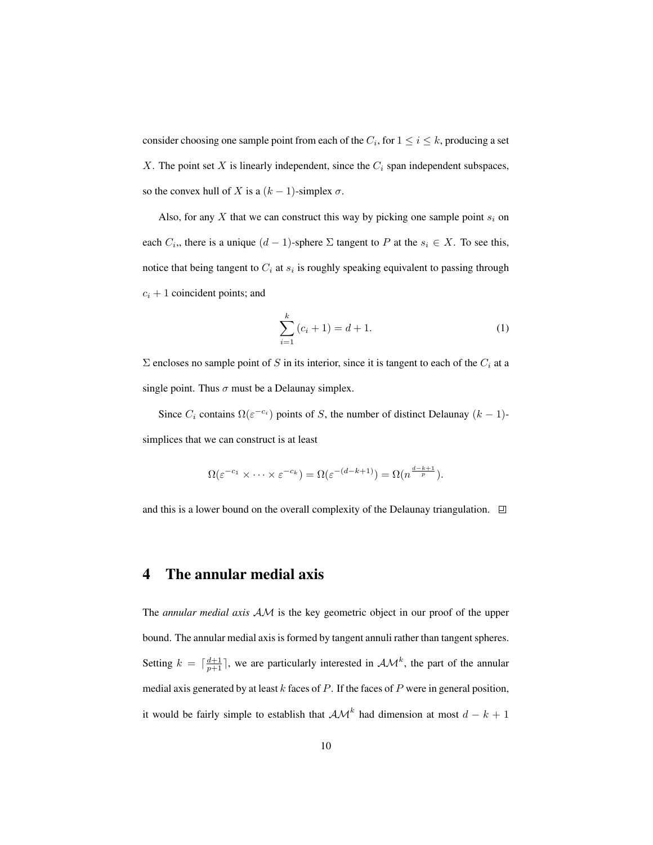consider choosing one sample point from each of the  $C_i$ , for  $1 \le i \le k$ , producing a set X. The point set  $X$  is linearly independent, since the  $C_i$  span independent subspaces, so the convex hull of X is a  $(k - 1)$ -simplex  $\sigma$ .

Also, for any  $X$  that we can construct this way by picking one sample point  $s_i$  on each  $C_i$ ,, there is a unique  $(d-1)$ -sphere  $\Sigma$  tangent to  $P$  at the  $s_i \in X$ . To see this, notice that being tangent to  $C_i$  at  $s_i$  is roughly speaking equivalent to passing through  $c_i + 1$  coincident points; and

$$
\sum_{i=1}^{k} (c_i + 1) = d + 1.
$$
 (1)

 $\Sigma$  encloses no sample point of S in its interior, since it is tangent to each of the  $C_i$  at a single point. Thus  $\sigma$  must be a Delaunay simplex.

Since  $C_i$  contains  $\Omega(\varepsilon^{-c_i})$  points of S, the number of distinct Delaunay  $(k-1)$ simplices that we can construct is at least

$$
\Omega(\varepsilon^{-c_1} \times \cdots \times \varepsilon^{-c_k}) = \Omega(\varepsilon^{-(d-k+1)}) = \Omega(n^{\frac{d-k+1}{p}}).
$$

and this is a lower bound on the overall complexity of the Delaunay triangulation.  $\Box$ 

#### 4 The annular medial axis

The *annular medial axis* AM is the key geometric object in our proof of the upper bound. The annular medial axis is formed by tangent annuli rather than tangent spheres. Setting  $k = \lceil \frac{d+1}{p+1} \rceil$ , we are particularly interested in  $\mathcal{AM}^k$ , the part of the annular medial axis generated by at least  $k$  faces of  $P$ . If the faces of  $P$  were in general position, it would be fairly simple to establish that  $\mathcal{AM}^k$  had dimension at most  $d - k + 1$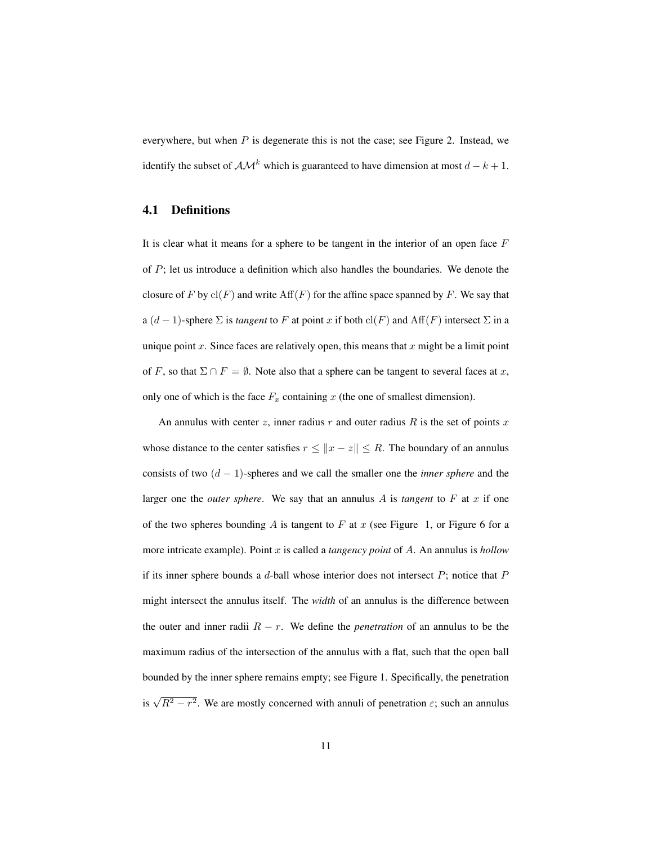everywhere, but when  $P$  is degenerate this is not the case; see Figure 2. Instead, we identify the subset of  $\mathcal{AM}^k$  which is guaranteed to have dimension at most  $d - k + 1$ .

#### 4.1 Definitions

It is clear what it means for a sphere to be tangent in the interior of an open face  $F$ of P; let us introduce a definition which also handles the boundaries. We denote the closure of F by  $cl(F)$  and write  $Aff(F)$  for the affine space spanned by F. We say that a  $(d-1)$ -sphere  $\Sigma$  is *tangent* to F at point x if both cl(F) and Aff(F) intersect  $\Sigma$  in a unique point  $x$ . Since faces are relatively open, this means that  $x$  might be a limit point of F, so that  $\Sigma \cap F = \emptyset$ . Note also that a sphere can be tangent to several faces at x, only one of which is the face  $F_x$  containing x (the one of smallest dimension).

An annulus with center z, inner radius  $r$  and outer radius  $R$  is the set of points  $x$ whose distance to the center satisfies  $r \le ||x - z|| \le R$ . The boundary of an annulus consists of two (d − 1)-spheres and we call the smaller one the *inner sphere* and the larger one the *outer sphere*. We say that an annulus  $A$  is *tangent* to  $F$  at  $x$  if one of the two spheres bounding A is tangent to F at x (see Figure 1, or Figure 6 for a more intricate example). Point x is called a *tangency point* of A. An annulus is *hollow* if its inner sphere bounds a  $d$ -ball whose interior does not intersect  $P$ ; notice that  $P$ might intersect the annulus itself. The *width* of an annulus is the difference between the outer and inner radii  $R - r$ . We define the *penetration* of an annulus to be the maximum radius of the intersection of the annulus with a flat, such that the open ball bounded by the inner sphere remains empty; see Figure 1. Specifically, the penetration is  $\sqrt{R^2 - r^2}$ . We are mostly concerned with annuli of penetration  $\varepsilon$ ; such an annulus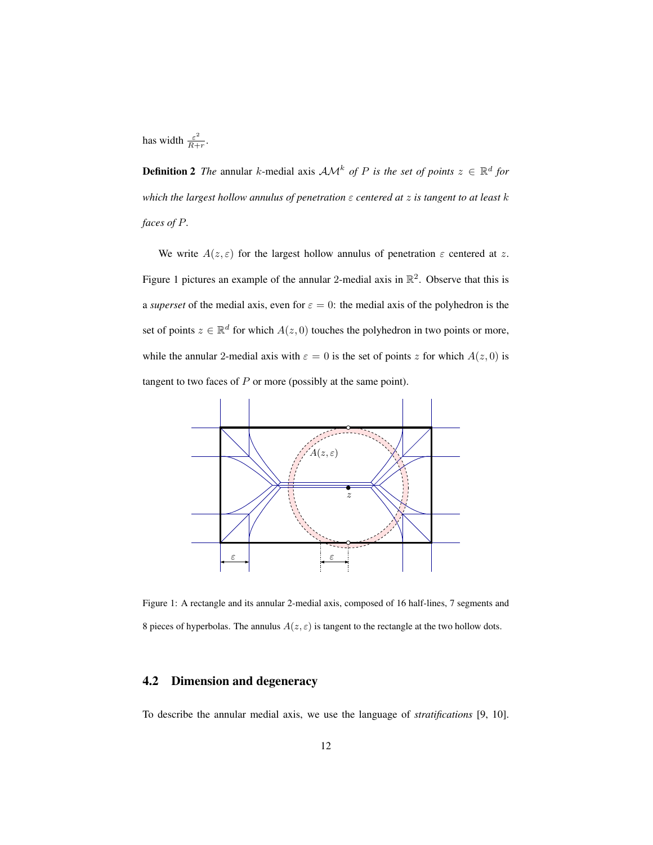has width  $\frac{\varepsilon^2}{B+}$  $\frac{\varepsilon^2}{R+r}$ .

**Definition 2** The annular k-medial axis  $AM^k$  of P is the set of points  $z \in \mathbb{R}^d$  for *which the largest hollow annulus of penetration* ε *centered at* z *is tangent to at least* k *faces of* P*.*

We write  $A(z, \varepsilon)$  for the largest hollow annulus of penetration  $\varepsilon$  centered at z. Figure 1 pictures an example of the annular 2-medial axis in  $\mathbb{R}^2$ . Observe that this is a *superset* of the medial axis, even for  $\varepsilon = 0$ : the medial axis of the polyhedron is the set of points  $z \in \mathbb{R}^d$  for which  $A(z, 0)$  touches the polyhedron in two points or more, while the annular 2-medial axis with  $\varepsilon = 0$  is the set of points z for which  $A(z, 0)$  is tangent to two faces of  $P$  or more (possibly at the same point).



Figure 1: A rectangle and its annular 2-medial axis, composed of 16 half-lines, 7 segments and 8 pieces of hyperbolas. The annulus  $A(z, \varepsilon)$  is tangent to the rectangle at the two hollow dots.

#### 4.2 Dimension and degeneracy

To describe the annular medial axis, we use the language of *stratifications* [9, 10].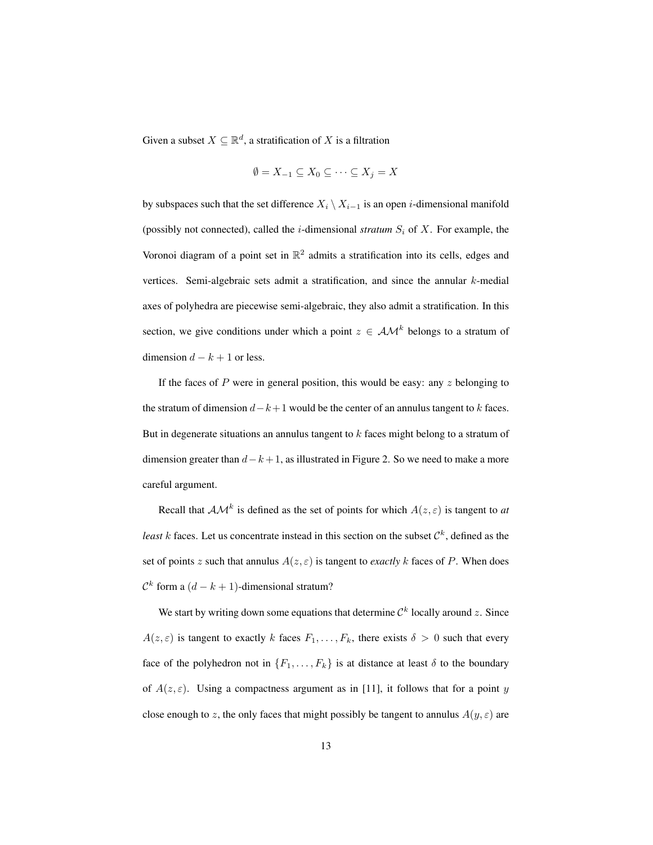Given a subset  $X \subseteq \mathbb{R}^d$ , a stratification of X is a filtration

$$
\emptyset = X_{-1} \subseteq X_0 \subseteq \cdots \subseteq X_j = X
$$

by subspaces such that the set difference  $X_i \setminus X_{i-1}$  is an open *i*-dimensional manifold (possibly not connected), called the *i*-dimensional *stratum*  $S_i$  of  $X$ . For example, the Voronoi diagram of a point set in  $\mathbb{R}^2$  admits a stratification into its cells, edges and vertices. Semi-algebraic sets admit a stratification, and since the annular k-medial axes of polyhedra are piecewise semi-algebraic, they also admit a stratification. In this section, we give conditions under which a point  $z \in A \mathcal{M}^k$  belongs to a stratum of dimension  $d - k + 1$  or less.

If the faces of P were in general position, this would be easy: any  $z$  belonging to the stratum of dimension  $d-k+1$  would be the center of an annulus tangent to k faces. But in degenerate situations an annulus tangent to  $k$  faces might belong to a stratum of dimension greater than  $d-k+1$ , as illustrated in Figure 2. So we need to make a more careful argument.

Recall that  $AM^k$  is defined as the set of points for which  $A(z, \varepsilon)$  is tangent to *at least*  $k$  faces. Let us concentrate instead in this section on the subset  $\mathcal{C}^k$ , defined as the set of points z such that annulus  $A(z, \varepsilon)$  is tangent to *exactly* k faces of P. When does  $\mathcal{C}^k$  form a  $(d-k+1)$ -dimensional stratum?

We start by writing down some equations that determine  $\mathcal{C}^k$  locally around z. Since  $A(z, \varepsilon)$  is tangent to exactly k faces  $F_1, \ldots, F_k$ , there exists  $\delta > 0$  such that every face of the polyhedron not in  $\{F_1, \ldots, F_k\}$  is at distance at least  $\delta$  to the boundary of  $A(z, \varepsilon)$ . Using a compactness argument as in [11], it follows that for a point y close enough to z, the only faces that might possibly be tangent to annulus  $A(y, \varepsilon)$  are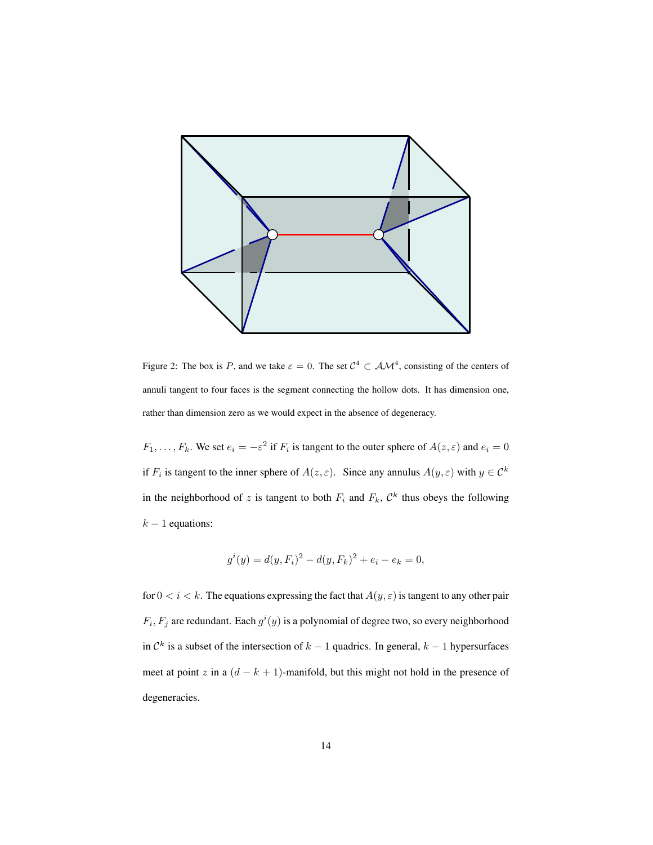

Figure 2: The box is P, and we take  $\varepsilon = 0$ . The set  $C^4 \subset A \mathcal{M}^4$ , consisting of the centers of annuli tangent to four faces is the segment connecting the hollow dots. It has dimension one, rather than dimension zero as we would expect in the absence of degeneracy.

 $F_1, \ldots, F_k$ . We set  $e_i = -\varepsilon^2$  if  $F_i$  is tangent to the outer sphere of  $A(z, \varepsilon)$  and  $e_i = 0$ if  $F_i$  is tangent to the inner sphere of  $A(z, \varepsilon)$ . Since any annulus  $A(y, \varepsilon)$  with  $y \in C^k$ in the neighborhood of z is tangent to both  $F_i$  and  $F_k$ ,  $\mathcal{C}^k$  thus obeys the following  $k - 1$  equations:

$$
g^{i}(y) = d(y, F_{i})^{2} - d(y, F_{k})^{2} + e_{i} - e_{k} = 0,
$$

for  $0 < i < k$ . The equations expressing the fact that  $A(y, \varepsilon)$  is tangent to any other pair  $F_i, F_j$  are redundant. Each  $g^i(y)$  is a polynomial of degree two, so every neighborhood in  $\mathcal{C}^k$  is a subset of the intersection of  $k-1$  quadrics. In general,  $k-1$  hypersurfaces meet at point z in a  $(d - k + 1)$ -manifold, but this might not hold in the presence of degeneracies.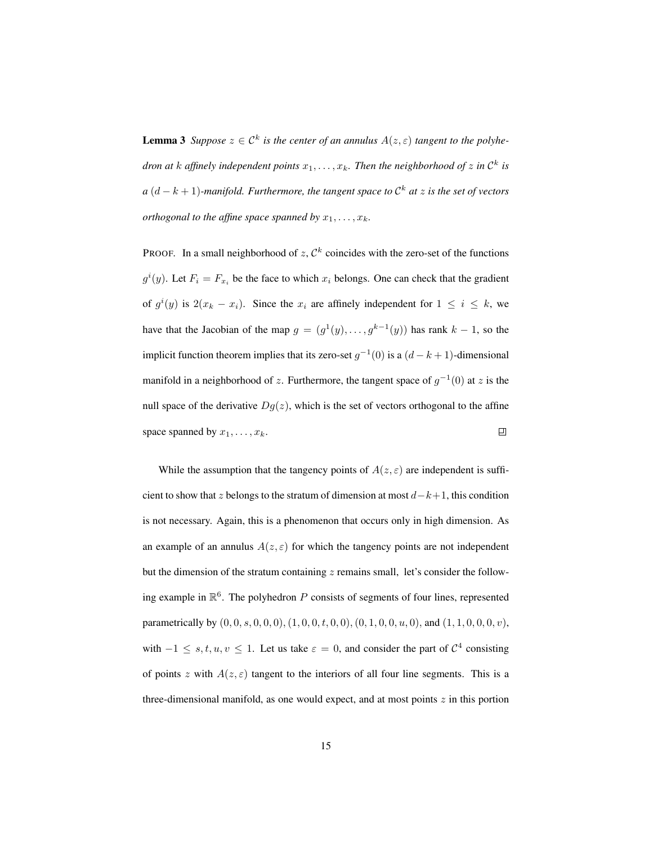**Lemma 3** *Suppose*  $z \in C^k$  *is the center of an annulus*  $A(z, \varepsilon)$  *tangent to the polyhe*dron at  $k$  affinely independent points  $x_1, \ldots, x_k$ . Then the neighborhood of  $z$  in  $\mathcal{C}^k$  is  $a(d - k + 1)$ -manifold. Furthermore, the tangent space to  $\mathcal{C}^k$  at  $z$  is the set of vectors *orthogonal to the affine space spanned by*  $x_1, \ldots, x_k$ .

PROOF. In a small neighborhood of  $z$ ,  $\mathcal{C}^k$  coincides with the zero-set of the functions  $g^{i}(y)$ . Let  $F_{i} = F_{x_i}$  be the face to which  $x_i$  belongs. One can check that the gradient of  $g^{i}(y)$  is  $2(x_k - x_i)$ . Since the  $x_i$  are affinely independent for  $1 \leq i \leq k$ , we have that the Jacobian of the map  $g = (g^1(y), \ldots, g^{k-1}(y))$  has rank  $k-1$ , so the implicit function theorem implies that its zero-set  $g^{-1}(0)$  is a  $(d-k+1)$ -dimensional manifold in a neighborhood of z. Furthermore, the tangent space of  $g^{-1}(0)$  at z is the null space of the derivative  $Dg(z)$ , which is the set of vectors orthogonal to the affine space spanned by  $x_1, \ldots, x_k$ . 回

While the assumption that the tangency points of  $A(z, \varepsilon)$  are independent is sufficient to show that z belongs to the stratum of dimension at most  $d-k+1$ , this condition is not necessary. Again, this is a phenomenon that occurs only in high dimension. As an example of an annulus  $A(z, \varepsilon)$  for which the tangency points are not independent but the dimension of the stratum containing  $z$  remains small, let's consider the following example in  $\mathbb{R}^6$ . The polyhedron P consists of segments of four lines, represented parametrically by  $(0, 0, s, 0, 0, 0), (1, 0, 0, t, 0, 0), (0, 1, 0, 0, u, 0)$ , and  $(1, 1, 0, 0, 0, v)$ , with  $-1 \leq s, t, u, v \leq 1$ . Let us take  $\varepsilon = 0$ , and consider the part of  $C^4$  consisting of points z with  $A(z, \varepsilon)$  tangent to the interiors of all four line segments. This is a three-dimensional manifold, as one would expect, and at most points  $z$  in this portion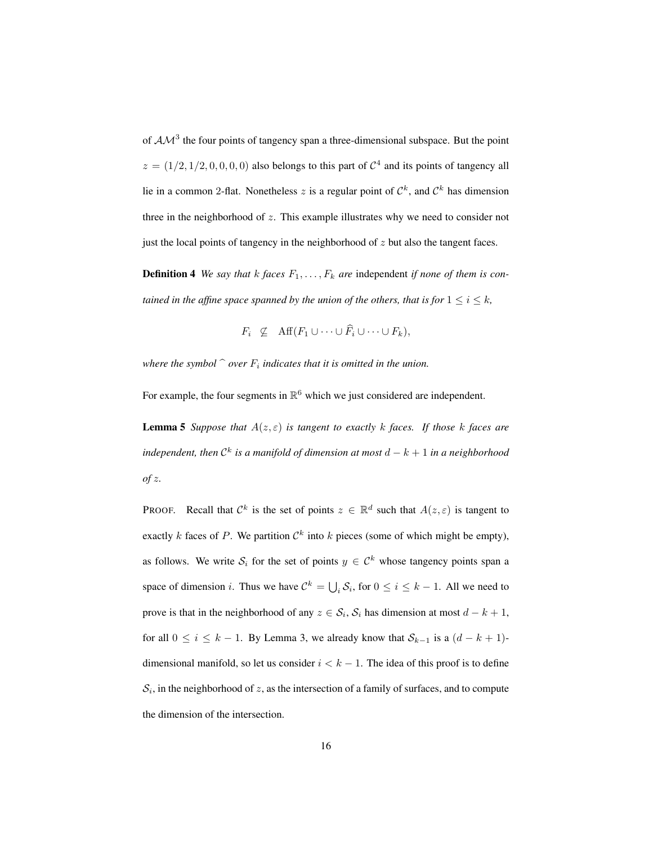of  $AM^3$  the four points of tangency span a three-dimensional subspace. But the point  $z = (1/2, 1/2, 0, 0, 0, 0)$  also belongs to this part of  $C<sup>4</sup>$  and its points of tangency all lie in a common 2-flat. Nonetheless z is a regular point of  $\mathcal{C}^k$ , and  $\mathcal{C}^k$  has dimension three in the neighborhood of  $z$ . This example illustrates why we need to consider not just the local points of tangency in the neighborhood of  $z$  but also the tangent faces.

**Definition 4** We say that k faces  $F_1, \ldots, F_k$  are independent if none of them is con*tained in the affine space spanned by the union of the others, that is for*  $1 \leq i \leq k$ ,

 $F_i \nsubseteq \text{Aff}(F_1 \cup \cdots \cup \widehat{F_i} \cup \cdots \cup F_k),$ 

where the symbol  $\hat{ }$  *over*  $F_i$  indicates that it is omitted in the union.

For example, the four segments in  $\mathbb{R}^6$  which we just considered are independent.

**Lemma 5** *Suppose that*  $A(z,\varepsilon)$  *is tangent to exactly* k *faces.* If *those* k *faces* are *independent, then*  $\mathcal{C}^k$  *is a manifold of dimension at most*  $d - k + 1$  *in a neighborhood of* z*.*

**PROOF.** Recall that  $\mathcal{C}^k$  is the set of points  $z \in \mathbb{R}^d$  such that  $A(z, \varepsilon)$  is tangent to exactly k faces of P. We partition  $\mathcal{C}^k$  into k pieces (some of which might be empty), as follows. We write  $S_i$  for the set of points  $y \in C^k$  whose tangency points span a space of dimension *i*. Thus we have  $C^k = \bigcup_i S_i$ , for  $0 \le i \le k - 1$ . All we need to prove is that in the neighborhood of any  $z \in S_i$ ,  $S_i$  has dimension at most  $d - k + 1$ , for all  $0 \le i \le k - 1$ . By Lemma 3, we already know that  $S_{k-1}$  is a  $(d - k + 1)$ dimensional manifold, so let us consider  $i < k - 1$ . The idea of this proof is to define  $S_i$ , in the neighborhood of z, as the intersection of a family of surfaces, and to compute the dimension of the intersection.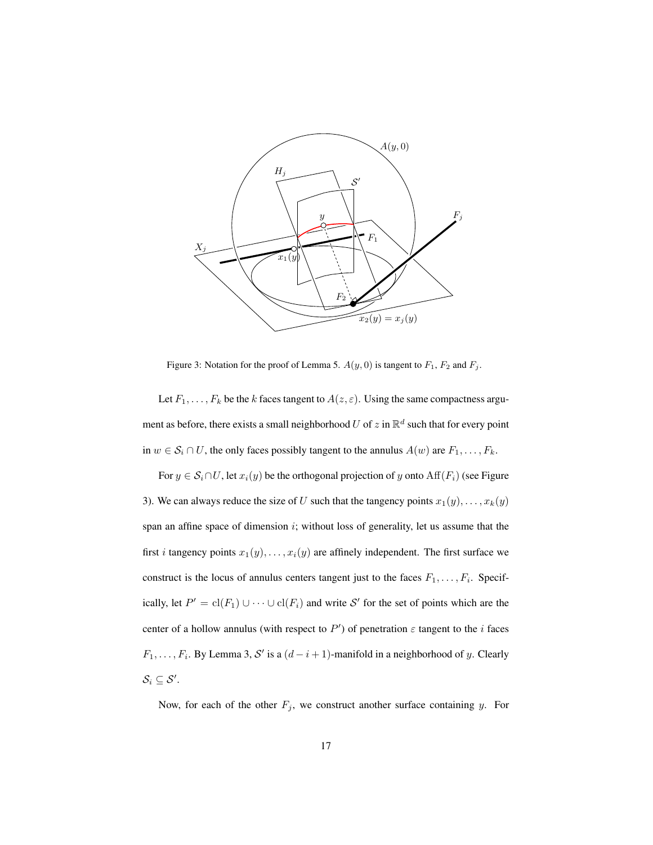

Figure 3: Notation for the proof of Lemma 5.  $A(y, 0)$  is tangent to  $F_1$ ,  $F_2$  and  $F_j$ .

Let  $F_1, \ldots, F_k$  be the k faces tangent to  $A(z, \varepsilon)$ . Using the same compactness argument as before, there exists a small neighborhood U of z in  $\mathbb{R}^d$  such that for every point in  $w \in S_i \cap U$ , the only faces possibly tangent to the annulus  $A(w)$  are  $F_1, \ldots, F_k$ .

For  $y \in S_i \cap U$ , let  $x_i(y)$  be the orthogonal projection of y onto  $\text{Aff}(F_i)$  (see Figure 3). We can always reduce the size of U such that the tangency points  $x_1(y), \ldots, x_k(y)$ span an affine space of dimension  $i$ ; without loss of generality, let us assume that the first *i* tangency points  $x_1(y), \ldots, x_i(y)$  are affinely independent. The first surface we construct is the locus of annulus centers tangent just to the faces  $F_1, \ldots, F_i$ . Specifically, let  $P' = cl(F_1) \cup \cdots \cup cl(F_i)$  and write S' for the set of points which are the center of a hollow annulus (with respect to  $P'$ ) of penetration  $\varepsilon$  tangent to the *i* faces  $F_1, \ldots, F_i$ . By Lemma 3, S' is a  $(d-i+1)$ -manifold in a neighborhood of y. Clearly  $\mathcal{S}_i \subseteq \mathcal{S}'$ .

Now, for each of the other  $F_j$ , we construct another surface containing y. For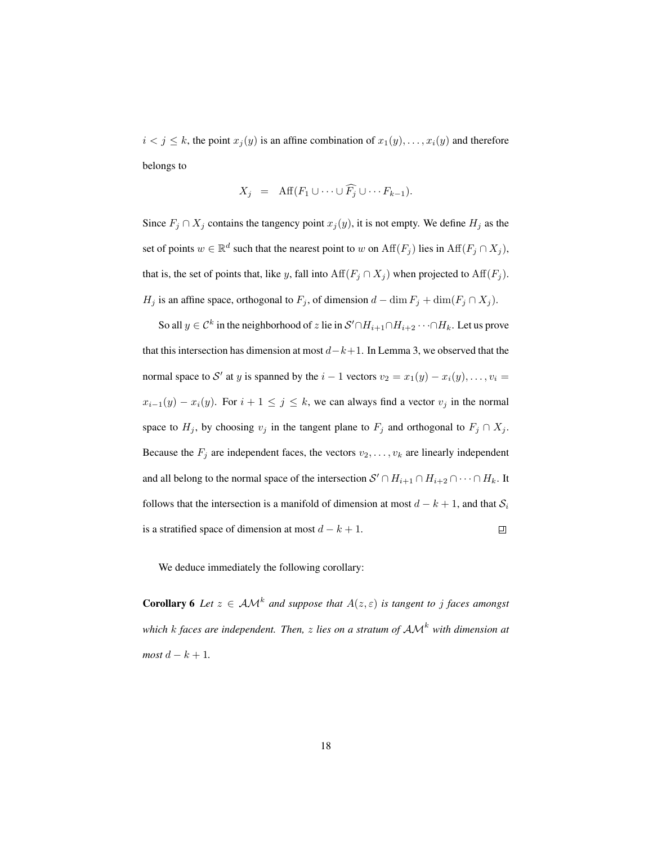$i < j \le k$ , the point  $x_j(y)$  is an affine combination of  $x_1(y), \ldots, x_i(y)$  and therefore belongs to

$$
X_j = \text{Aff}(F_1 \cup \dots \cup \widehat{F_j} \cup \dots F_{k-1}).
$$

Since  $F_j \cap X_j$  contains the tangency point  $x_j(y)$ , it is not empty. We define  $H_j$  as the set of points  $w \in \mathbb{R}^d$  such that the nearest point to w on  $\text{Aff}(F_j)$  lies in  $\text{Aff}(F_j \cap X_j)$ , that is, the set of points that, like y, fall into  $\text{Aff}(F_j \cap X_j)$  when projected to  $\text{Aff}(F_j)$ .  $H_j$  is an affine space, orthogonal to  $F_j$ , of dimension  $d - \dim F_j + \dim(F_j \cap X_j)$ .

So all  $y \in \mathcal{C}^k$  in the neighborhood of z lie in  $\mathcal{S}' \cap H_{i+1} \cap H_{i+2} \cdots \cap H_k$ . Let us prove that this intersection has dimension at most  $d-k+1$ . In Lemma 3, we observed that the normal space to S' at y is spanned by the  $i - 1$  vectors  $v_2 = x_1(y) - x_i(y), \dots, v_i =$  $x_{i-1}(y) - x_i(y)$ . For  $i + 1 \leq j \leq k$ , we can always find a vector  $v_j$  in the normal space to  $H_j$ , by choosing  $v_j$  in the tangent plane to  $F_j$  and orthogonal to  $F_j \cap X_j$ . Because the  $F_j$  are independent faces, the vectors  $v_2, \ldots, v_k$  are linearly independent and all belong to the normal space of the intersection  $S' \cap H_{i+1} \cap H_{i+2} \cap \cdots \cap H_k$ . It follows that the intersection is a manifold of dimension at most  $d - k + 1$ , and that  $S_i$ is a stratified space of dimension at most  $d - k + 1$ .  $\Box$ 

We deduce immediately the following corollary:

**Corollary 6** Let  $z \in AM^k$  and suppose that  $A(z, \varepsilon)$  is tangent to j faces amongst *which* <sup>k</sup> *faces are independent. Then,* <sup>z</sup> *lies on a stratum of* AM<sup>k</sup> *with dimension at*  $most\ d-k+1$ .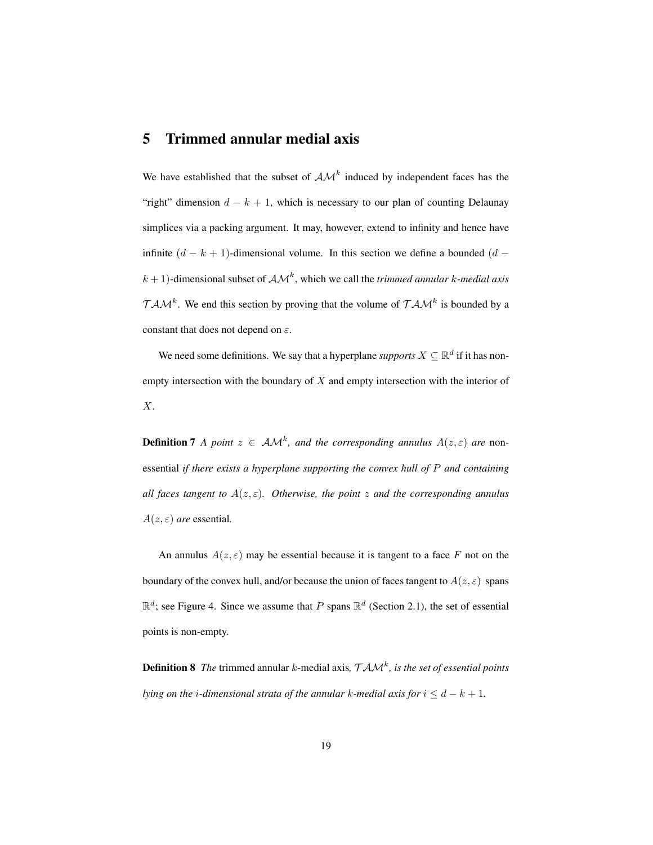### 5 Trimmed annular medial axis

We have established that the subset of  $A\mathcal{M}^k$  induced by independent faces has the "right" dimension  $d - k + 1$ , which is necessary to our plan of counting Delaunay simplices via a packing argument. It may, however, extend to infinity and hence have infinite  $(d - k + 1)$ -dimensional volume. In this section we define a bounded  $(d (k+1)$ -dimensional subset of  $AM<sup>k</sup>$ , which we call the *trimmed annular* k-medial axis  $TAM^k$ . We end this section by proving that the volume of  $TAM^k$  is bounded by a constant that does not depend on  $\varepsilon$ .

We need some definitions. We say that a hyperplane *supports*  $X \subseteq \mathbb{R}^d$  if it has nonempty intersection with the boundary of  $X$  and empty intersection with the interior of X.

**Definition 7** *A point*  $z \in AM^k$ , and the corresponding annulus  $A(z,\varepsilon)$  are nonessential *if there exists a hyperplane supporting the convex hull of* P *and containing all faces tangent to*  $A(z, \varepsilon)$ *. Otherwise, the point* z and the corresponding annulus  $A(z,\varepsilon)$  *are* essential.

An annulus  $A(z, \varepsilon)$  may be essential because it is tangent to a face F not on the boundary of the convex hull, and/or because the union of faces tangent to  $A(z, \varepsilon)$  spans  $\mathbb{R}^d$ ; see Figure 4. Since we assume that P spans  $\mathbb{R}^d$  (Section 2.1), the set of essential points is non-empty.

**Definition 8** The trimmed annular k-medial axis,  $TAM^k$ , is the set of essential points *lying on the i-dimensional strata of the annular k-medial axis for*  $i \leq d - k + 1$ *.*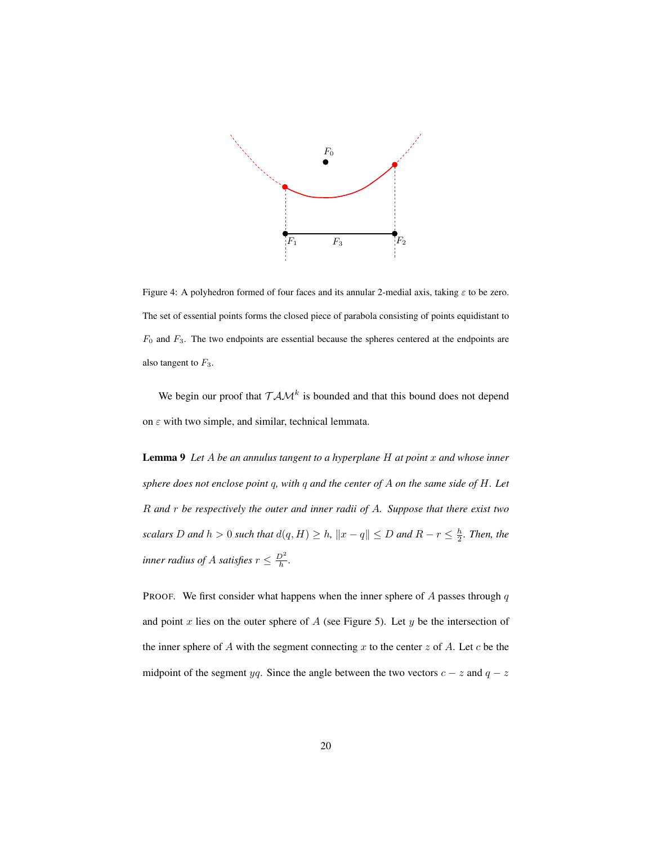

Figure 4: A polyhedron formed of four faces and its annular 2-medial axis, taking  $\varepsilon$  to be zero. The set of essential points forms the closed piece of parabola consisting of points equidistant to  $F_0$  and  $F_3$ . The two endpoints are essential because the spheres centered at the endpoints are also tangent to  $F_3$ .

We begin our proof that  $T A M^k$  is bounded and that this bound does not depend on  $\varepsilon$  with two simple, and similar, technical lemmata.

Lemma 9 *Let* A *be an annulus tangent to a hyperplane* H *at point* x *and whose inner sphere does not enclose point* q*, with* q *and the center of* A *on the same side of* H*. Let* R *and* r *be respectively the outer and inner radii of* A*. Suppose that there exist two scalars* D and  $h > 0$  *such that*  $d(q, H) \geq h$ ,  $||x - q|| \leq D$  and  $R - r \leq \frac{h}{2}$ . Then, the *inner radius of A satisfies*  $r \leq \frac{D^2}{h}$ *.* 

PROOF. We first consider what happens when the inner sphere of  $A$  passes through  $q$ and point  $x$  lies on the outer sphere of  $A$  (see Figure 5). Let  $y$  be the intersection of the inner sphere of A with the segment connecting x to the center z of A. Let c be the midpoint of the segment yq. Since the angle between the two vectors  $c - z$  and  $q - z$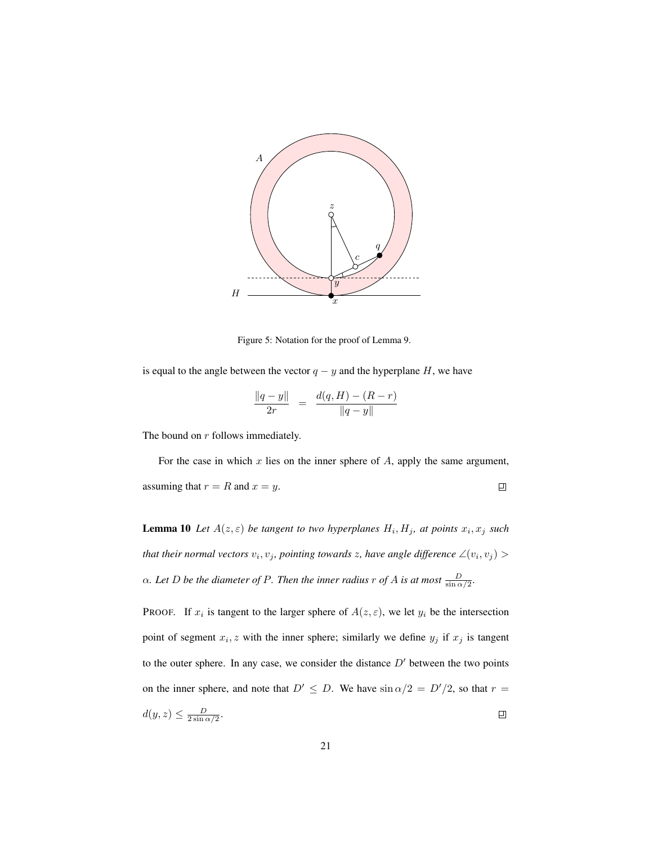

Figure 5: Notation for the proof of Lemma 9.

is equal to the angle between the vector  $q - y$  and the hyperplane H, we have

$$
\frac{\|q-y\|}{2r} = \frac{d(q,H) - (R-r)}{\|q-y\|}
$$

The bound on r follows immediately.

For the case in which  $x$  lies on the inner sphere of  $A$ , apply the same argument, assuming that  $r = R$  and  $x = y$ .  $\Box$ 

**Lemma 10** Let  $A(z,\varepsilon)$  be tangent to two hyperplanes  $H_i, H_j$ , at points  $x_i, x_j$  such that their normal vectors  $v_i, v_j$ , pointing towards z, have angle difference  $\angle(v_i, v_j)$  >  $\alpha$ *. Let* D be the diameter of P. Then the inner radius r of A is at most  $\frac{D}{\sin \alpha/2}$ *.* 

**PROOF.** If  $x_i$  is tangent to the larger sphere of  $A(z, \varepsilon)$ , we let  $y_i$  be the intersection point of segment  $x_i, z$  with the inner sphere; similarly we define  $y_j$  if  $x_j$  is tangent to the outer sphere. In any case, we consider the distance  $D'$  between the two points on the inner sphere, and note that  $D' \leq D$ . We have  $\sin \alpha/2 = D'/2$ , so that  $r =$  $d(y, z) \leq \frac{D}{2 \sin \alpha/2}.$  $\Box$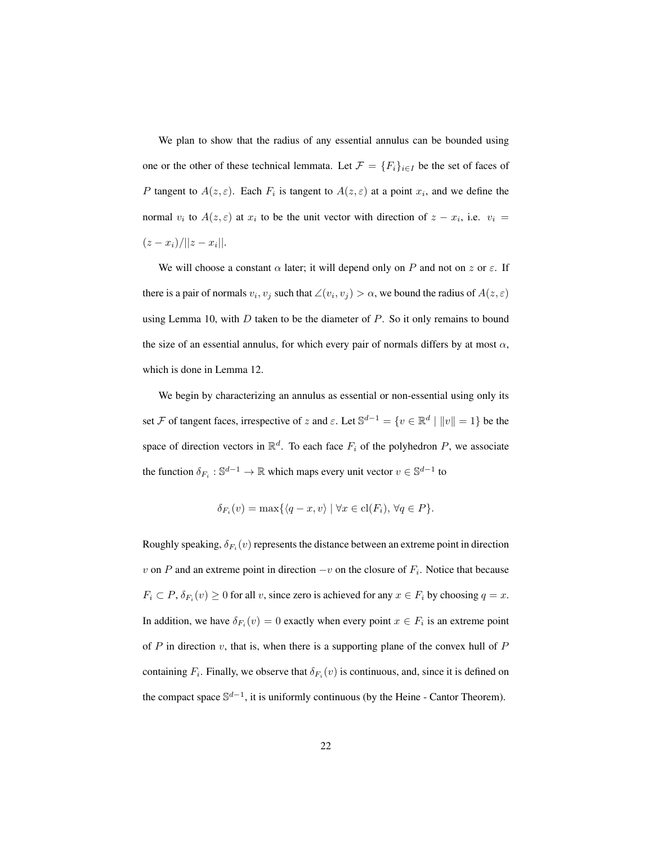We plan to show that the radius of any essential annulus can be bounded using one or the other of these technical lemmata. Let  $\mathcal{F} = \{F_i\}_{i \in I}$  be the set of faces of P tangent to  $A(z,\varepsilon)$ . Each  $F_i$  is tangent to  $A(z,\varepsilon)$  at a point  $x_i$ , and we define the normal  $v_i$  to  $A(z, \varepsilon)$  at  $x_i$  to be the unit vector with direction of  $z - x_i$ , i.e.  $v_i =$  $(z-x_i)/||z-x_i||$ .

We will choose a constant  $\alpha$  later; it will depend only on P and not on z or  $\varepsilon$ . If there is a pair of normals  $v_i, v_j$  such that  $\angle(v_i, v_j) > \alpha$ , we bound the radius of  $A(z, \varepsilon)$ using Lemma 10, with  $D$  taken to be the diameter of  $P$ . So it only remains to bound the size of an essential annulus, for which every pair of normals differs by at most  $\alpha$ , which is done in Lemma 12.

We begin by characterizing an annulus as essential or non-essential using only its set F of tangent faces, irrespective of z and  $\varepsilon$ . Let  $\mathbb{S}^{d-1} = \{v \in \mathbb{R}^d \mid ||v|| = 1\}$  be the space of direction vectors in  $\mathbb{R}^d$ . To each face  $F_i$  of the polyhedron P, we associate the function  $\delta_{F_i}: \mathbb{S}^{d-1} \to \mathbb{R}$  which maps every unit vector  $v \in \mathbb{S}^{d-1}$  to

$$
\delta_{F_i}(v) = \max\{\langle q - x, v \rangle \mid \forall x \in \text{cl}(F_i), \forall q \in P\}.
$$

Roughly speaking,  $\delta_{F_i}(v)$  represents the distance between an extreme point in direction v on P and an extreme point in direction  $-v$  on the closure of  $F_i$ . Notice that because  $F_i \subset P$ ,  $\delta_{F_i}(v) \ge 0$  for all v, since zero is achieved for any  $x \in F_i$  by choosing  $q = x$ . In addition, we have  $\delta_{F_i}(v) = 0$  exactly when every point  $x \in F_i$  is an extreme point of  $P$  in direction  $v$ , that is, when there is a supporting plane of the convex hull of  $P$ containing  $F_i$ . Finally, we observe that  $\delta_{F_i}(v)$  is continuous, and, since it is defined on the compact space  $\mathbb{S}^{d-1}$ , it is uniformly continuous (by the Heine - Cantor Theorem).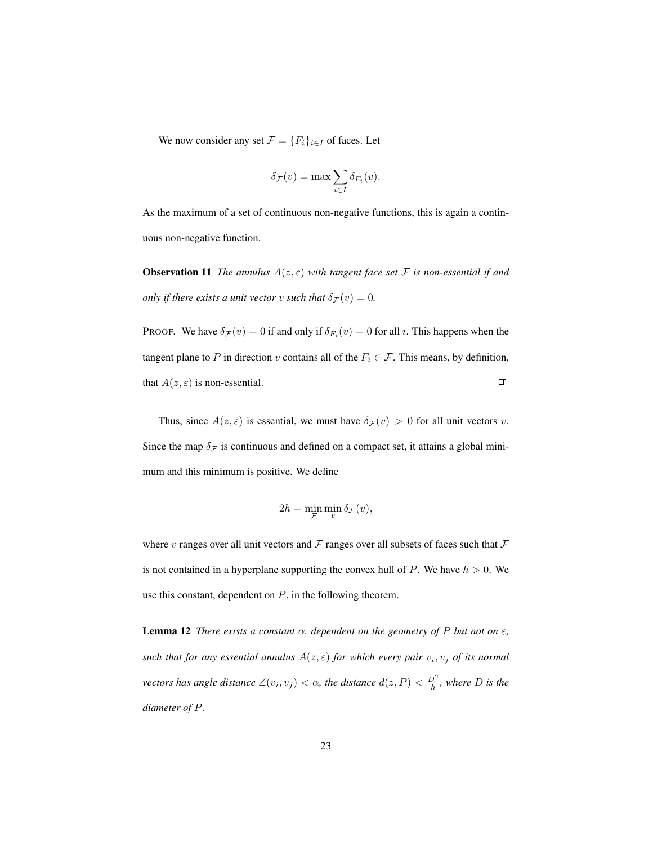We now consider any set  $\mathcal{F} = \{F_i\}_{i \in I}$  of faces. Let

$$
\delta_{\mathcal{F}}(v) = \max \sum_{i \in I} \delta_{F_i}(v).
$$

As the maximum of a set of continuous non-negative functions, this is again a continuous non-negative function.

**Observation 11** *The annulus*  $A(z,\varepsilon)$  *with tangent face set* F *is non-essential if and only if there exists a unit vector* v *such that*  $\delta_{\mathcal{F}}(v) = 0$ *.* 

PROOF. We have  $\delta_{\mathcal{F}}(v) = 0$  if and only if  $\delta_{F_i}(v) = 0$  for all *i*. This happens when the tangent plane to P in direction v contains all of the  $F_i \in \mathcal{F}$ . This means, by definition, that  $A(z, \varepsilon)$  is non-essential. 凹

Thus, since  $A(z, \varepsilon)$  is essential, we must have  $\delta \mathcal{F}(v) > 0$  for all unit vectors v. Since the map  $\delta_F$  is continuous and defined on a compact set, it attains a global minimum and this minimum is positive. We define

$$
2h = \min_{\mathcal{F}} \min_{v} \delta_{\mathcal{F}}(v),
$$

where v ranges over all unit vectors and  $\mathcal F$  ranges over all subsets of faces such that  $\mathcal F$ is not contained in a hyperplane supporting the convex hull of  $P$ . We have  $h > 0$ . We use this constant, dependent on  $P$ , in the following theorem.

**Lemma 12** *There exists a constant*  $\alpha$ , dependent on the geometry of P but not on  $\varepsilon$ , such that for any essential annulus  $A(z, \varepsilon)$  for which every pair  $v_i, v_j$  of its normal *vectors has angle distance*  $\angle(v_i, v_j) < \alpha$ , the distance  $d(z, P) < \frac{D^2}{h}$ , where D is the *diameter of* P*.*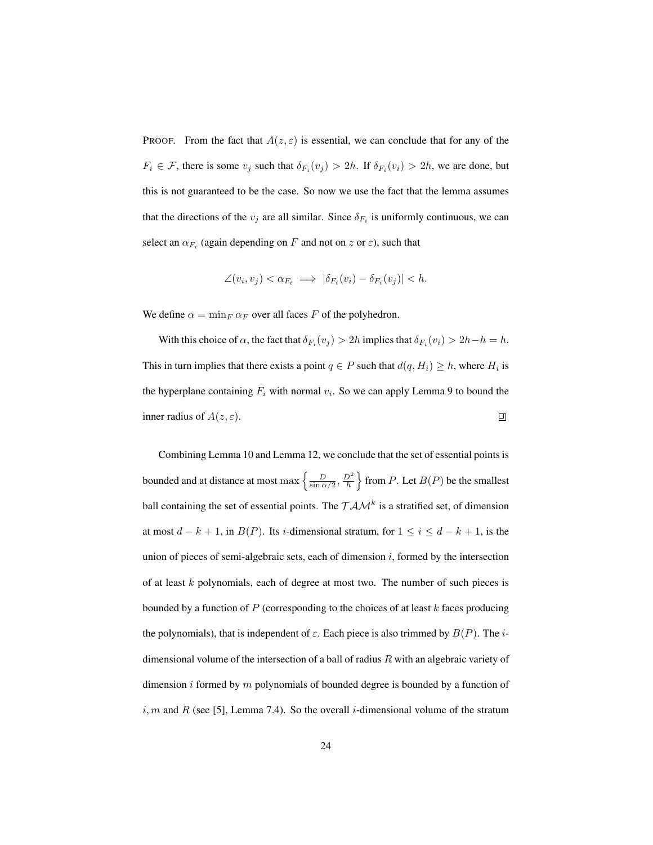PROOF. From the fact that  $A(z, \varepsilon)$  is essential, we can conclude that for any of the  $F_i \in \mathcal{F}$ , there is some  $v_j$  such that  $\delta_{F_i}(v_j) > 2h$ . If  $\delta_{F_i}(v_i) > 2h$ , we are done, but this is not guaranteed to be the case. So now we use the fact that the lemma assumes that the directions of the  $v_j$  are all similar. Since  $\delta_{F_i}$  is uniformly continuous, we can select an  $\alpha_{F_i}$  (again depending on F and not on z or  $\varepsilon$ ), such that

$$
\angle(v_i, v_j) < \alpha_{F_i} \implies |\delta_{F_i}(v_i) - \delta_{F_i}(v_j)| < h.
$$

We define  $\alpha = \min_F \alpha_F$  over all faces F of the polyhedron.

With this choice of  $\alpha$ , the fact that  $\delta_{F_i}(v_j) > 2h$  implies that  $\delta_{F_i}(v_i) > 2h - h = h$ . This in turn implies that there exists a point  $q \in P$  such that  $d(q, H_i) \geq h$ , where  $H_i$  is the hyperplane containing  $F_i$  with normal  $v_i$ . So we can apply Lemma 9 to bound the inner radius of  $A(z,\varepsilon)$ .  $\Box$ 

Combining Lemma 10 and Lemma 12, we conclude that the set of essential points is bounded and at distance at most max  $\left\{\frac{D}{\sin \alpha/2}, \frac{D^2}{h}\right\}$  $\}$  from P. Let  $B(P)$  be the smallest ball containing the set of essential points. The  $TAM^k$  is a stratified set, of dimension at most  $d - k + 1$ , in  $B(P)$ . Its *i*-dimensional stratum, for  $1 \le i \le d - k + 1$ , is the union of pieces of semi-algebraic sets, each of dimension  $i$ , formed by the intersection of at least  $k$  polynomials, each of degree at most two. The number of such pieces is bounded by a function of  $P$  (corresponding to the choices of at least k faces producing the polynomials), that is independent of  $\varepsilon$ . Each piece is also trimmed by  $B(P)$ . The *i*dimensional volume of the intersection of a ball of radius  $R$  with an algebraic variety of dimension i formed by  $m$  polynomials of bounded degree is bounded by a function of  $i, m$  and R (see [5], Lemma 7.4). So the overall i-dimensional volume of the stratum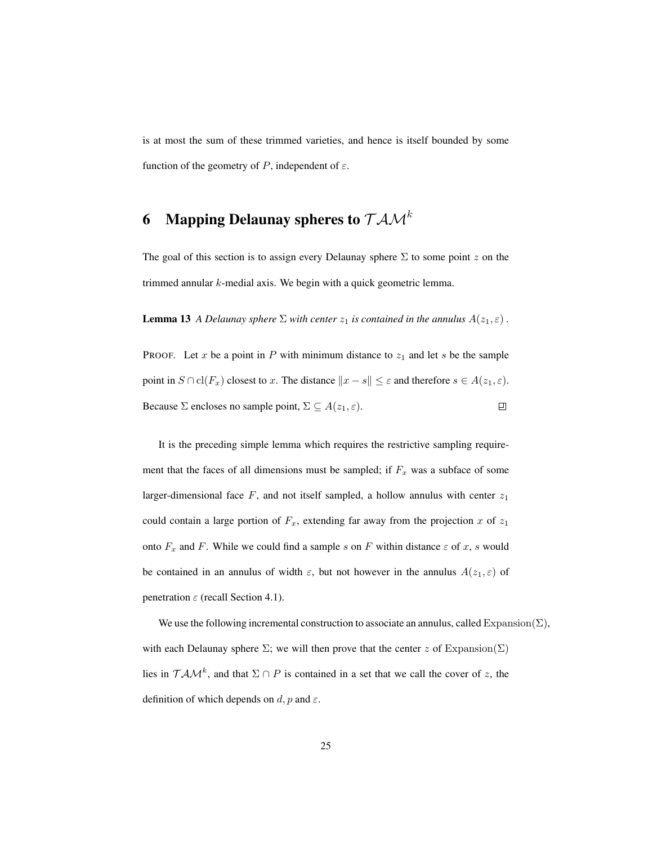is at most the sum of these trimmed varieties, and hence is itself bounded by some function of the geometry of P, independent of  $\varepsilon$ .

# 6 Mapping Delaunay spheres to  $\mathcal{T} \mathcal{A} \mathcal{M}^k$

The goal of this section is to assign every Delaunay sphere  $\Sigma$  to some point z on the trimmed annular k-medial axis. We begin with a quick geometric lemma.

**Lemma 13** *A Delaunay sphere*  $\Sigma$  *with center*  $z_1$  *is contained in the annulus*  $A(z_1, \varepsilon)$ .

PROOF. Let x be a point in P with minimum distance to  $z_1$  and let s be the sample point in  $S \cap \text{cl}(F_x)$  closest to x. The distance  $||x - s|| \leq \varepsilon$  and therefore  $s \in A(z_1, \varepsilon)$ . Because  $\Sigma$  encloses no sample point,  $\Sigma \subseteq A(z_1, \varepsilon)$ .  $\Box$ 

It is the preceding simple lemma which requires the restrictive sampling requirement that the faces of all dimensions must be sampled; if  $F_x$  was a subface of some larger-dimensional face  $F$ , and not itself sampled, a hollow annulus with center  $z_1$ could contain a large portion of  $F_x$ , extending far away from the projection x of  $z_1$ onto  $F_x$  and F. While we could find a sample s on F within distance  $\varepsilon$  of x, s would be contained in an annulus of width  $\varepsilon$ , but not however in the annulus  $A(z_1, \varepsilon)$  of penetration  $\varepsilon$  (recall Section 4.1).

We use the following incremental construction to associate an annulus, called Expansion( $\Sigma$ ), with each Delaunay sphere  $\Sigma$ ; we will then prove that the center z of Expansion( $\Sigma$ ) lies in  $T A M^k$ , and that  $\Sigma \cap P$  is contained in a set that we call the cover of z, the definition of which depends on  $d$ ,  $p$  and  $\varepsilon$ .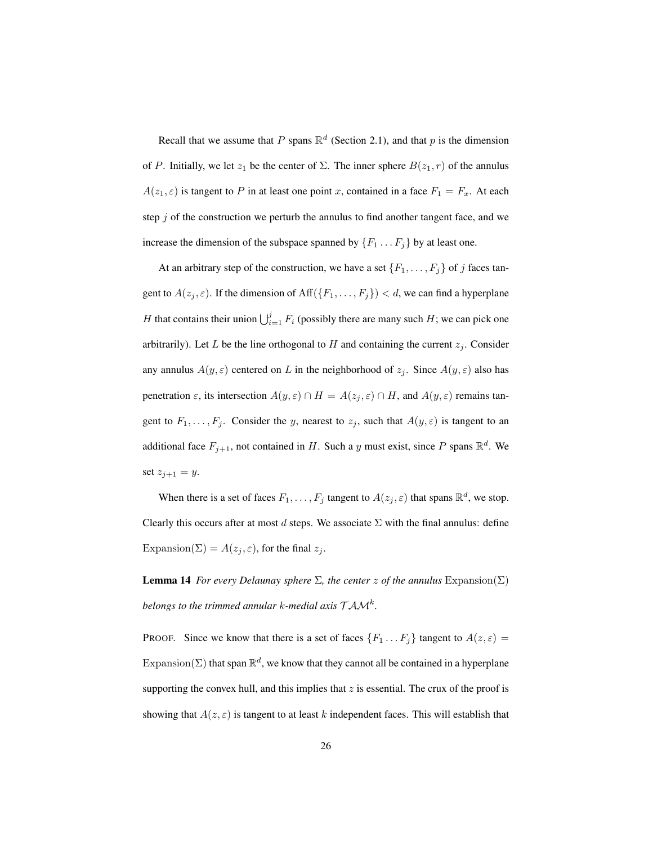Recall that we assume that P spans  $\mathbb{R}^d$  (Section 2.1), and that p is the dimension of P. Initially, we let  $z_1$  be the center of  $\Sigma$ . The inner sphere  $B(z_1, r)$  of the annulus  $A(z_1, \varepsilon)$  is tangent to P in at least one point x, contained in a face  $F_1 = F_x$ . At each step  $j$  of the construction we perturb the annulus to find another tangent face, and we increase the dimension of the subspace spanned by  $\{F_1 \dots F_j\}$  by at least one.

At an arbitrary step of the construction, we have a set  $\{F_1, \ldots, F_j\}$  of j faces tangent to  $A(z_j, \varepsilon)$ . If the dimension of  $\text{Aff}(\lbrace F_1, \ldots, F_j \rbrace) < d$ , we can find a hyperplane H that contains their union  $\bigcup_{i=1}^{j} F_i$  (possibly there are many such H; we can pick one arbitrarily). Let L be the line orthogonal to H and containing the current  $z_i$ . Consider any annulus  $A(y, \varepsilon)$  centered on L in the neighborhood of  $z_j$ . Since  $A(y, \varepsilon)$  also has penetration  $\varepsilon$ , its intersection  $A(y,\varepsilon) \cap H = A(z_j,\varepsilon) \cap H$ , and  $A(y,\varepsilon)$  remains tangent to  $F_1, \ldots, F_j$ . Consider the y, nearest to  $z_j$ , such that  $A(y, \varepsilon)$  is tangent to an additional face  $F_{j+1}$ , not contained in H. Such a y must exist, since P spans  $\mathbb{R}^d$ . We set  $z_{j+1} = y$ .

When there is a set of faces  $F_1, \ldots, F_j$  tangent to  $A(z_j, \varepsilon)$  that spans  $\mathbb{R}^d$ , we stop. Clearly this occurs after at most d steps. We associate  $\Sigma$  with the final annulus: define Expansion( $\Sigma$ ) =  $A(z_j, \varepsilon)$ , for the final  $z_j$ .

**Lemma 14** *For every Delaunay sphere*  $\Sigma$ *, the center z of the annulus* Expansion( $\Sigma$ ) belongs to the trimmed annular k-medial axis  $\mathcal{TAM}^k$ .

PROOF. Since we know that there is a set of faces  $\{F_1 \dots F_j\}$  tangent to  $A(z, \varepsilon) =$ Expansion( $\Sigma$ ) that span  $\mathbb{R}^d$ , we know that they cannot all be contained in a hyperplane supporting the convex hull, and this implies that  $z$  is essential. The crux of the proof is showing that  $A(z, \varepsilon)$  is tangent to at least k independent faces. This will establish that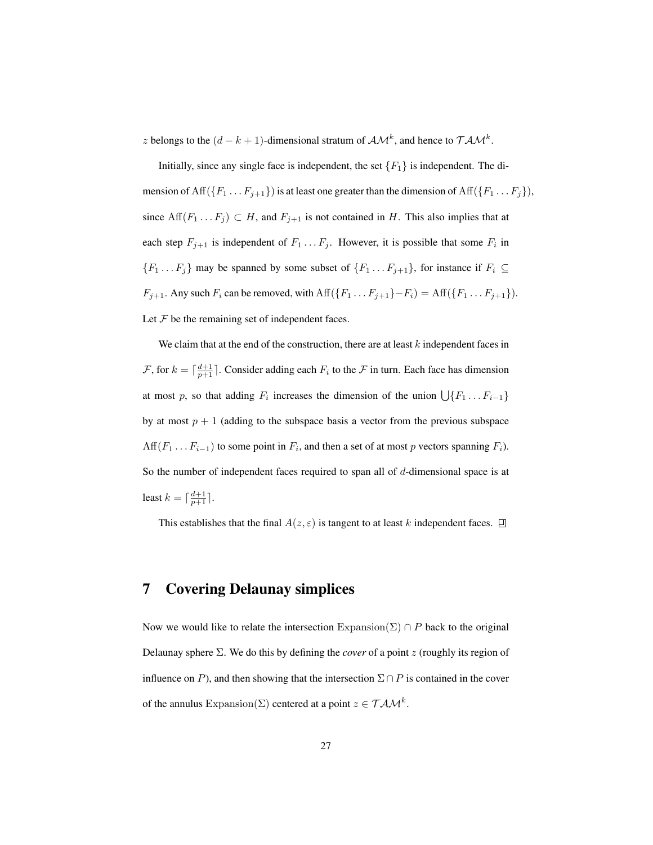z belongs to the  $(d - k + 1)$ -dimensional stratum of  $\mathcal{AM}^k$ , and hence to  $\mathcal{TM}^k$ .

Initially, since any single face is independent, the set  ${F<sub>1</sub>}$  is independent. The dimension of Aff $(\{F_1 \ldots F_{j+1}\})$  is at least one greater than the dimension of Aff $(\{F_1 \ldots F_j\})$ , since  $\text{Aff}(F_1 \dots F_j) \subset H$ , and  $F_{j+1}$  is not contained in H. This also implies that at each step  $F_{j+1}$  is independent of  $F_1 \dots F_j$ . However, it is possible that some  $F_i$  in  ${F_1 \dots F_j}$  may be spanned by some subset of  ${F_1 \dots F_{j+1}}$ , for instance if  $F_i \subseteq$  $F_{j+1}$ . Any such  $F_i$  can be removed, with  $\text{Aff}(\{F_1 \dots F_{j+1}\} - F_i) = \text{Aff}(\{F_1 \dots F_{j+1}\}).$ Let  $\mathcal F$  be the remaining set of independent faces.

We claim that at the end of the construction, there are at least  $k$  independent faces in  $\mathcal{F}$ , for  $k = \lceil \frac{d+1}{p+1} \rceil$ . Consider adding each  $F_i$  to the  $\mathcal F$  in turn. Each face has dimension at most p, so that adding  $F_i$  increases the dimension of the union  $\bigcup \{F_1 \dots F_{i-1}\}$ by at most  $p + 1$  (adding to the subspace basis a vector from the previous subspace Aff $(F_1 \ldots F_{i-1})$  to some point in  $F_i$ , and then a set of at most p vectors spanning  $F_i$ ). So the number of independent faces required to span all of  $d$ -dimensional space is at least  $k = \lceil \frac{d+1}{p+1} \rceil$ .

This establishes that the final  $A(z, \varepsilon)$  is tangent to at least k independent faces.  $\Box$ 

### 7 Covering Delaunay simplices

Now we would like to relate the intersection  $\text{Expansion}(\Sigma) \cap P$  back to the original Delaunay sphere  $\Sigma$ . We do this by defining the *cover* of a point z (roughly its region of influence on P), and then showing that the intersection  $\Sigma \cap P$  is contained in the cover of the annulus Expansion( $\Sigma$ ) centered at a point  $z \in T \mathcal{AM}^k$ .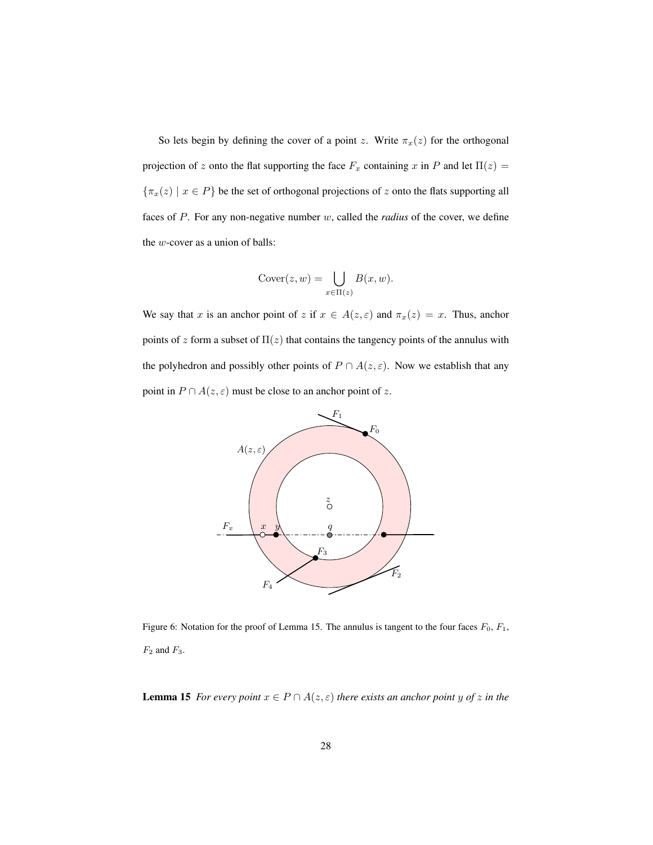So lets begin by defining the cover of a point z. Write  $\pi_x(z)$  for the orthogonal projection of z onto the flat supporting the face  $F_x$  containing x in P and let  $\Pi(z)$  =  ${\lbrace \pi_x(z) \mid x \in P \rbrace}$  be the set of orthogonal projections of z onto the flats supporting all faces of P. For any non-negative number w, called the *radius* of the cover, we define the w-cover as a union of balls:

$$
Cover(z, w) = \bigcup_{x \in \Pi(z)} B(x, w).
$$

We say that x is an anchor point of z if  $x \in A(z, \varepsilon)$  and  $\pi_x(z) = x$ . Thus, anchor points of z form a subset of  $\Pi(z)$  that contains the tangency points of the annulus with the polyhedron and possibly other points of  $P \cap A(z, \varepsilon)$ . Now we establish that any point in  $P \cap A(z, \varepsilon)$  must be close to an anchor point of z.



Figure 6: Notation for the proof of Lemma 15. The annulus is tangent to the four faces  $F_0$ ,  $F_1$ ,  $\mathcal{F}_2$  and  $\mathcal{F}_3.$ 

**Lemma 15** *For every point*  $x \in P \cap A(z, \varepsilon)$  *there exists an anchor point* y *of* z *in the*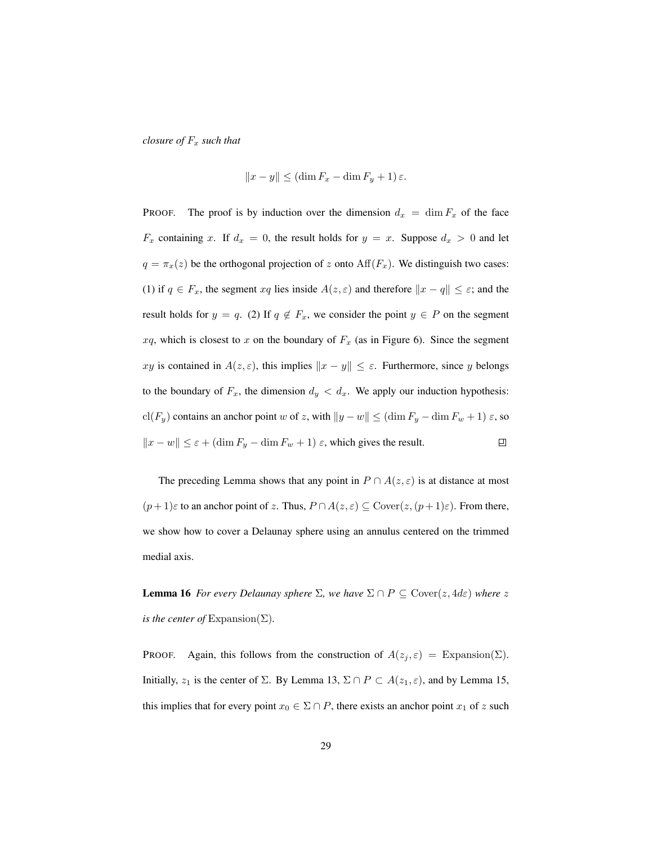*closure of*  $F_x$  *such that* 

$$
||x - y|| \le (\dim F_x - \dim F_y + 1)\varepsilon.
$$

PROOF. The proof is by induction over the dimension  $d_x = \dim F_x$  of the face  $F_x$  containing x. If  $d_x = 0$ , the result holds for  $y = x$ . Suppose  $d_x > 0$  and let  $q = \pi_x(z)$  be the orthogonal projection of z onto  $Aff(F_x)$ . We distinguish two cases: (1) if  $q \in F_x$ , the segment  $xq$  lies inside  $A(z, \varepsilon)$  and therefore  $||x - q|| \leq \varepsilon$ ; and the result holds for  $y = q$ . (2) If  $q \notin F_x$ , we consider the point  $y \in P$  on the segment  $xq$ , which is closest to x on the boundary of  $F_x$  (as in Figure 6). Since the segment xy is contained in  $A(z, \varepsilon)$ , this implies  $||x - y|| \leq \varepsilon$ . Furthermore, since y belongs to the boundary of  $F_x$ , the dimension  $d_y < d_x$ . We apply our induction hypothesis: cl(F<sub>y</sub>) contains an anchor point w of z, with  $||y - w|| \leq (\dim F_y - \dim F_w + 1) \varepsilon$ , so  $\|x - w\| \leq \varepsilon + (\dim F_y - \dim F_w + 1) \varepsilon$ , which gives the result.  $\Box$ 

The preceding Lemma shows that any point in  $P \cap A(z, \varepsilon)$  is at distance at most  $(p+1)\varepsilon$  to an anchor point of z. Thus,  $P \cap A(z,\varepsilon) \subseteq \text{Cover}(z,(p+1)\varepsilon)$ . From there, we show how to cover a Delaunay sphere using an annulus centered on the trimmed medial axis.

**Lemma 16** *For every Delaunay sphere*  $\Sigma$ *, we have*  $\Sigma \cap P \subseteq \text{Cover}(z, 4d\varepsilon)$  *where* z *is the center of*  $Expansion(\Sigma)$ *.* 

PROOF. Again, this follows from the construction of  $A(z_j, \varepsilon) = \text{Expansion}(\Sigma)$ . Initially,  $z_1$  is the center of  $\Sigma$ . By Lemma 13,  $\Sigma \cap P \subset A(z_1, \varepsilon)$ , and by Lemma 15, this implies that for every point  $x_0 \in \Sigma \cap P$ , there exists an anchor point  $x_1$  of z such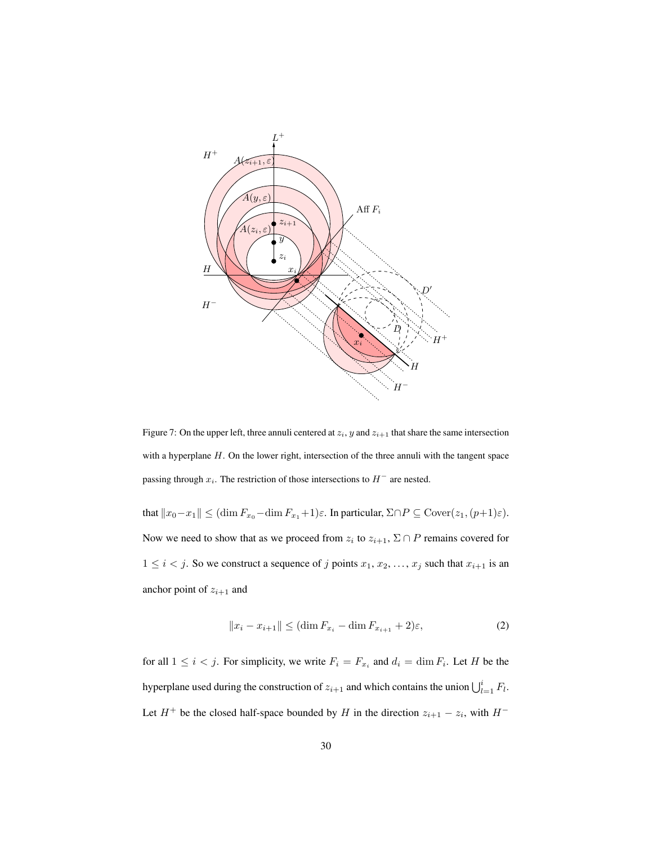

Figure 7: On the upper left, three annuli centered at  $z_i$ , y and  $z_{i+1}$  that share the same intersection with a hyperplane  $H$ . On the lower right, intersection of the three annuli with the tangent space passing through  $x_i$ . The restriction of those intersections to  $H^-$  are nested.

that  $||x_0-x_1|| \leq (\dim F_{x_0}-\dim F_{x_1}+1)\varepsilon$ . In particular,  $\Sigma \cap P \subseteq \text{Cover}(z_1,(p+1)\varepsilon)$ . Now we need to show that as we proceed from  $z_i$  to  $z_{i+1}$ ,  $\Sigma \cap P$  remains covered for  $1 \leq i < j$ . So we construct a sequence of j points  $x_1, x_2, \ldots, x_j$  such that  $x_{i+1}$  is an anchor point of  $z_{i+1}$  and

$$
||x_i - x_{i+1}|| \le (\dim F_{x_i} - \dim F_{x_{i+1}} + 2)\varepsilon,
$$
\n(2)

for all  $1 \leq i < j$ . For simplicity, we write  $F_i = F_{x_i}$  and  $d_i = \dim F_i$ . Let H be the hyperplane used during the construction of  $z_{i+1}$  and which contains the union  $\bigcup_{l=1}^{i} F_l$ . Let  $H^+$  be the closed half-space bounded by H in the direction  $z_{i+1} - z_i$ , with  $H^-$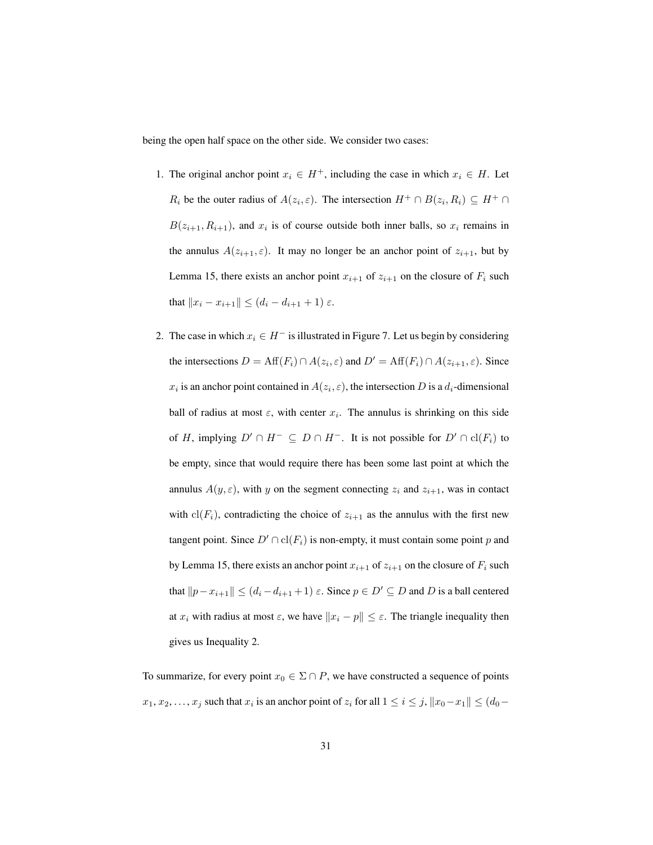being the open half space on the other side. We consider two cases:

- 1. The original anchor point  $x_i \in H^+$ , including the case in which  $x_i \in H$ . Let  $R_i$  be the outer radius of  $A(z_i, \varepsilon)$ . The intersection  $H^+ \cap B(z_i, R_i) \subseteq H^+ \cap$  $B(z_{i+1}, R_{i+1})$ , and  $x_i$  is of course outside both inner balls, so  $x_i$  remains in the annulus  $A(z_{i+1}, \varepsilon)$ . It may no longer be an anchor point of  $z_{i+1}$ , but by Lemma 15, there exists an anchor point  $x_{i+1}$  of  $z_{i+1}$  on the closure of  $F_i$  such that  $||x_i - x_{i+1}|| \leq (d_i - d_{i+1} + 1) \varepsilon$ .
- 2. The case in which  $x_i \in H^-$  is illustrated in Figure 7. Let us begin by considering the intersections  $D = \text{Aff}(F_i) \cap A(z_i, \varepsilon)$  and  $D' = \text{Aff}(F_i) \cap A(z_{i+1}, \varepsilon)$ . Since  $x_i$  is an anchor point contained in  $A(z_i, \varepsilon)$ , the intersection D is a  $d_i$ -dimensional ball of radius at most  $\varepsilon$ , with center  $x_i$ . The annulus is shrinking on this side of H, implying  $D' \cap H^- \subseteq D \cap H^-$ . It is not possible for  $D' \cap \text{cl}(F_i)$  to be empty, since that would require there has been some last point at which the annulus  $A(y, \varepsilon)$ , with y on the segment connecting  $z_i$  and  $z_{i+1}$ , was in contact with  $\text{cl}(F_i)$ , contradicting the choice of  $z_{i+1}$  as the annulus with the first new tangent point. Since  $D' \cap \text{cl}(F_i)$  is non-empty, it must contain some point p and by Lemma 15, there exists an anchor point  $x_{i+1}$  of  $z_{i+1}$  on the closure of  $F_i$  such that  $||p-x_{i+1}|| \leq (d_i-d_{i+1}+1) \varepsilon$ . Since  $p \in D' \subseteq D$  and D is a ball centered at  $x_i$  with radius at most  $\varepsilon$ , we have  $||x_i - p|| \leq \varepsilon$ . The triangle inequality then gives us Inequality 2.

To summarize, for every point  $x_0 \in \Sigma \cap P$ , we have constructed a sequence of points  $x_1, x_2, \ldots, x_j$  such that  $x_i$  is an anchor point of  $z_i$  for all  $1 \leq i \leq j$ ,  $||x_0 - x_1|| \leq (d_0 - x_1)$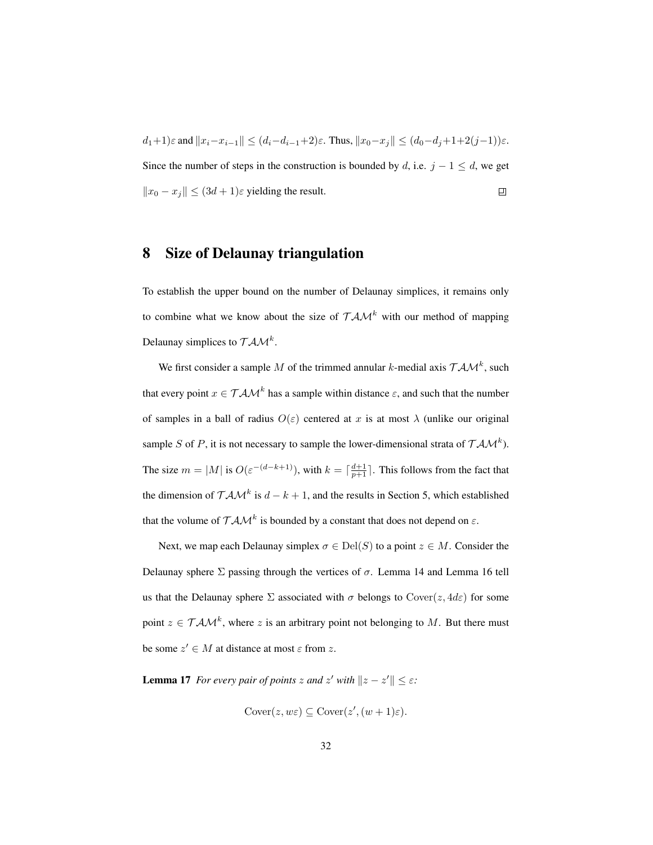$d_1+1)\varepsilon \text{ and } \|x_i-x_{i-1}\|\leq (d_i-d_{i-1}+2)\varepsilon. \text{ Thus, } \|x_0-x_j\|\leq (d_0-d_j+1+2(j-1))\varepsilon.$ Since the number of steps in the construction is bounded by d, i.e.  $j - 1 \le d$ , we get  $||x_0 - x_j|| \leq (3d + 1)\varepsilon$  yielding the result. 凹

#### 8 Size of Delaunay triangulation

To establish the upper bound on the number of Delaunay simplices, it remains only to combine what we know about the size of  $T A M^k$  with our method of mapping Delaunay simplices to  $\mathcal{TAM}^k$ .

We first consider a sample M of the trimmed annular k-medial axis  $TAM^k$ , such that every point  $x \in T \mathcal{AM}^k$  has a sample within distance  $\varepsilon$ , and such that the number of samples in a ball of radius  $O(\varepsilon)$  centered at x is at most  $\lambda$  (unlike our original sample S of P, it is not necessary to sample the lower-dimensional strata of  $T A M^k$ ). The size  $m = |M|$  is  $O(\varepsilon^{-(d-k+1)})$ , with  $k = \lceil \frac{d+1}{p+1} \rceil$ . This follows from the fact that the dimension of  $T A M^k$  is  $d - k + 1$ , and the results in Section 5, which established that the volume of  $T A M^k$  is bounded by a constant that does not depend on  $\varepsilon$ .

Next, we map each Delaunay simplex  $\sigma \in \text{Del}(S)$  to a point  $z \in M$ . Consider the Delaunay sphere  $\Sigma$  passing through the vertices of  $\sigma$ . Lemma 14 and Lemma 16 tell us that the Delaunay sphere  $\Sigma$  associated with  $\sigma$  belongs to Cover( $z, 4d\varepsilon$ ) for some point  $z \in TAM^k$ , where z is an arbitrary point not belonging to M. But there must be some  $z' \in M$  at distance at most  $\varepsilon$  from z.

**Lemma 17** *For every pair of points*  $z$  *and*  $z'$  *with*  $\|z - z'\| \leq \varepsilon$ *:* 

$$
Cover(z, w\varepsilon) \subseteq Cover(z', (w+1)\varepsilon).
$$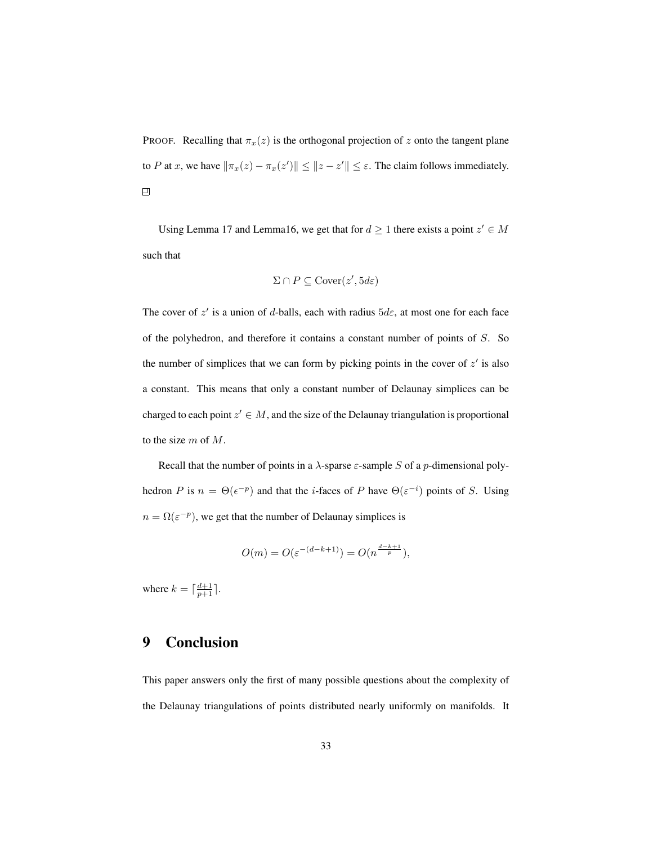PROOF. Recalling that  $\pi_x(z)$  is the orthogonal projection of z onto the tangent plane to P at x, we have  $\|\pi_x(z) - \pi_x(z')\| \leq \|z - z'\| \leq \varepsilon$ . The claim follows immediately.  $\Box$ 

Using Lemma 17 and Lemma16, we get that for  $d \ge 1$  there exists a point  $z' \in M$ such that

$$
\Sigma \cap P \subseteq \text{Cover}(z', 5d\varepsilon)
$$

The cover of  $z'$  is a union of d-balls, each with radius  $5d\varepsilon$ , at most one for each face of the polyhedron, and therefore it contains a constant number of points of S. So the number of simplices that we can form by picking points in the cover of  $z'$  is also a constant. This means that only a constant number of Delaunay simplices can be charged to each point  $z' \in M$ , and the size of the Delaunay triangulation is proportional to the size m of M.

Recall that the number of points in a  $\lambda$ -sparse  $\varepsilon$ -sample S of a p-dimensional polyhedron P is  $n = \Theta(\epsilon^{-p})$  and that the *i*-faces of P have  $\Theta(\epsilon^{-i})$  points of S. Using  $n = \Omega(\varepsilon^{-p})$ , we get that the number of Delaunay simplices is

$$
O(m) = O(\varepsilon^{-(d-k+1)}) = O(n^{\frac{d-k+1}{p}}),
$$

where  $k = \lceil \frac{d+1}{p+1} \rceil$ .

# 9 Conclusion

This paper answers only the first of many possible questions about the complexity of the Delaunay triangulations of points distributed nearly uniformly on manifolds. It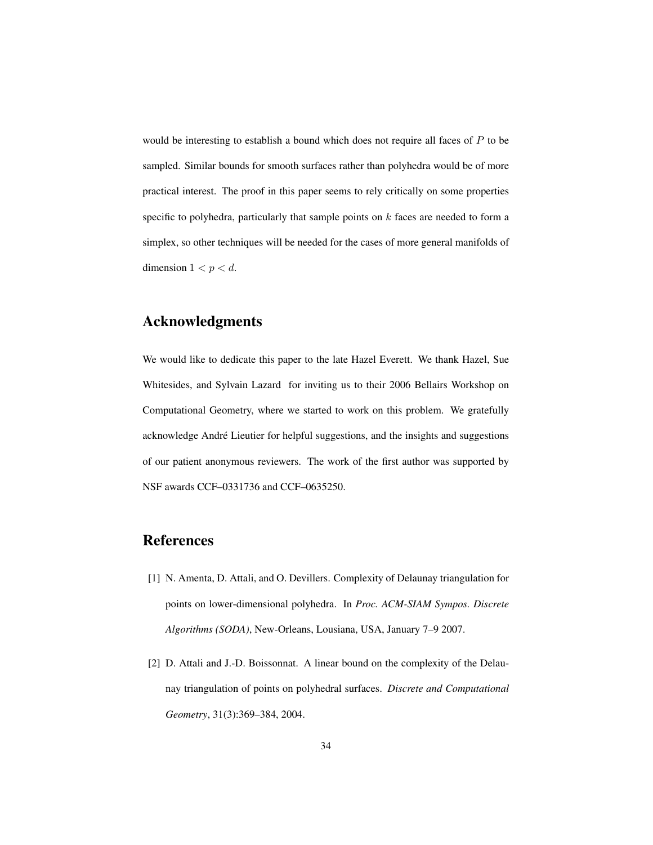would be interesting to establish a bound which does not require all faces of P to be sampled. Similar bounds for smooth surfaces rather than polyhedra would be of more practical interest. The proof in this paper seems to rely critically on some properties specific to polyhedra, particularly that sample points on  $k$  faces are needed to form a simplex, so other techniques will be needed for the cases of more general manifolds of dimension  $1 < p < d$ .

## Acknowledgments

We would like to dedicate this paper to the late Hazel Everett. We thank Hazel, Sue Whitesides, and Sylvain Lazard for inviting us to their 2006 Bellairs Workshop on Computational Geometry, where we started to work on this problem. We gratefully acknowledge Andre Lieutier for helpful suggestions, and the insights and suggestions ´ of our patient anonymous reviewers. The work of the first author was supported by NSF awards CCF–0331736 and CCF–0635250.

## References

- [1] N. Amenta, D. Attali, and O. Devillers. Complexity of Delaunay triangulation for points on lower-dimensional polyhedra. In *Proc. ACM-SIAM Sympos. Discrete Algorithms (SODA)*, New-Orleans, Lousiana, USA, January 7–9 2007.
- [2] D. Attali and J.-D. Boissonnat. A linear bound on the complexity of the Delaunay triangulation of points on polyhedral surfaces. *Discrete and Computational Geometry*, 31(3):369–384, 2004.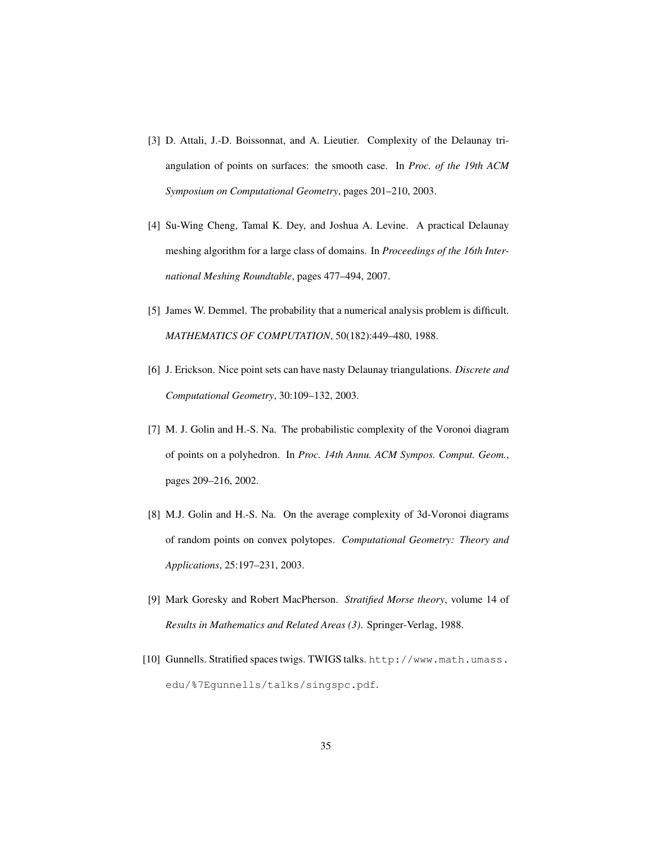- [3] D. Attali, J.-D. Boissonnat, and A. Lieutier. Complexity of the Delaunay triangulation of points on surfaces: the smooth case. In *Proc. of the 19th ACM Symposium on Computational Geometry*, pages 201–210, 2003.
- [4] Su-Wing Cheng, Tamal K. Dey, and Joshua A. Levine. A practical Delaunay meshing algorithm for a large class of domains. In *Proceedings of the 16th International Meshing Roundtable*, pages 477–494, 2007.
- [5] James W. Demmel. The probability that a numerical analysis problem is difficult. *MATHEMATICS OF COMPUTATION*, 50(182):449–480, 1988.
- [6] J. Erickson. Nice point sets can have nasty Delaunay triangulations. *Discrete and Computational Geometry*, 30:109–132, 2003.
- [7] M. J. Golin and H.-S. Na. The probabilistic complexity of the Voronoi diagram of points on a polyhedron. In *Proc. 14th Annu. ACM Sympos. Comput. Geom.*, pages 209–216, 2002.
- [8] M.J. Golin and H.-S. Na. On the average complexity of 3d-Voronoi diagrams of random points on convex polytopes. *Computational Geometry: Theory and Applications*, 25:197–231, 2003.
- [9] Mark Goresky and Robert MacPherson. *Stratified Morse theory*, volume 14 of *Results in Mathematics and Related Areas (3)*. Springer-Verlag, 1988.
- [10] Gunnells. Stratified spaces twigs. TWIGS talks. http://www.math.umass. edu/%7Egunnells/talks/singspc.pdf.